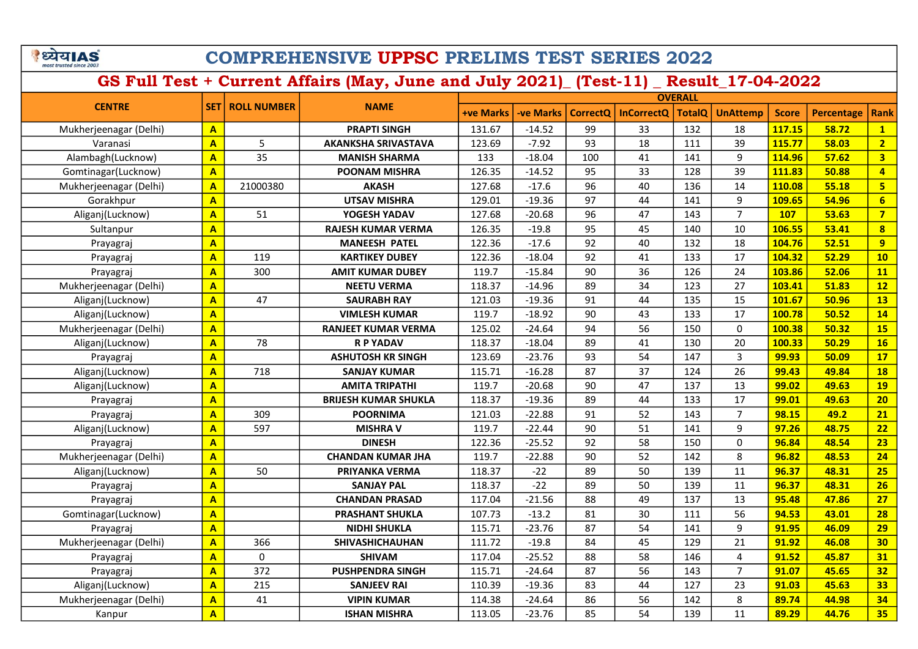े ध्येय AS

### COMPREHENSIVE UPPSC PRELIMS TEST SERIES 2022

|                        |                         |                        |                             | <b>OVERALL</b>   |                  |          |                   |               |                 |              |                   |                         |
|------------------------|-------------------------|------------------------|-----------------------------|------------------|------------------|----------|-------------------|---------------|-----------------|--------------|-------------------|-------------------------|
| <b>CENTRE</b>          |                         | <b>SET ROLL NUMBER</b> | <b>NAME</b>                 | <b>+ve Marks</b> | <b>-ve Marks</b> | CorrectQ | <b>InCorrectO</b> | <b>TotalQ</b> | <b>UnAttemp</b> | <b>Score</b> | <b>Percentage</b> | <b>Rank</b>             |
| Mukherjeenagar (Delhi) | $\mathbf{A}$            |                        | <b>PRAPTI SINGH</b>         | 131.67           | $-14.52$         | 99       | 33                | 132           | 18              | 117.15       | 58.72             | $\mathbf{1}$            |
| Varanasi               | $\mathbf{A}$            | 5                      | <b>AKANKSHA SRIVASTAVA</b>  | 123.69           | $-7.92$          | 93       | 18                | 111           | 39              | 115.77       | 58.03             | $\overline{2}$          |
| Alambagh(Lucknow)      | $\overline{A}$          | 35                     | <b>MANISH SHARMA</b>        | 133              | $-18.04$         | 100      | 41                | 141           | 9               | 114.96       | 57.62             | $\overline{\mathbf{3}}$ |
| Gomtinagar(Lucknow)    | $\mathbf{A}$            |                        | <b>POONAM MISHRA</b>        | 126.35           | $-14.52$         | 95       | 33                | 128           | 39              | 111.83       | 50.88             | $\overline{4}$          |
| Mukherjeenagar (Delhi) | $\overline{A}$          | 21000380               | <b>AKASH</b>                | 127.68           | $-17.6$          | 96       | 40                | 136           | 14              | 110.08       | 55.18             | $5\overline{5}$         |
| Gorakhpur              | $\overline{\mathbf{A}}$ |                        | <b>UTSAV MISHRA</b>         | 129.01           | $-19.36$         | 97       | 44                | 141           | 9               | 109.65       | 54.96             | $6\overline{6}$         |
| Aliganj(Lucknow)       | $\mathbf{A}$            | 51                     | YOGESH YADAV                | 127.68           | $-20.68$         | 96       | 47                | 143           | $\overline{7}$  | <b>107</b>   | 53.63             | $\overline{7}$          |
| Sultanpur              | $\mathbf{A}$            |                        | <b>RAJESH KUMAR VERMA</b>   | 126.35           | $-19.8$          | 95       | 45                | 140           | 10              | 106.55       | 53.41             | $\overline{\mathbf{8}}$ |
| Prayagraj              | $\mathbf{A}$            |                        | <b>MANEESH PATEL</b>        | 122.36           | $-17.6$          | 92       | 40                | 132           | 18              | 104.76       | 52.51             | 9                       |
| Prayagraj              | $\overline{\mathbf{A}}$ | 119                    | <b>KARTIKEY DUBEY</b>       | 122.36           | $-18.04$         | 92       | 41                | 133           | 17              | 104.32       | 52.29             | 10                      |
| Prayagraj              | $\mathbf{A}$            | 300                    | <b>AMIT KUMAR DUBEY</b>     | 119.7            | $-15.84$         | 90       | 36                | 126           | 24              | 103.86       | 52.06             | 11                      |
| Mukherjeenagar (Delhi) | $\overline{A}$          |                        | <b>NEETU VERMA</b>          | 118.37           | $-14.96$         | 89       | 34                | 123           | 27              | 103.41       | 51.83             | 12                      |
| Aliganj(Lucknow)       | $\mathbf{A}$            | 47                     | <b>SAURABH RAY</b>          | 121.03           | $-19.36$         | 91       | 44                | 135           | 15              | 101.67       | 50.96             | 13                      |
| Aliganj(Lucknow)       | $\mathbf{A}$            |                        | <b>VIMLESH KUMAR</b>        | 119.7            | $-18.92$         | 90       | 43                | 133           | 17              | 100.78       | 50.52             | 14                      |
| Mukherjeenagar (Delhi) | $\mathbf{A}$            |                        | <b>RANJEET KUMAR VERMA</b>  | 125.02           | $-24.64$         | 94       | 56                | 150           | $\mathbf{0}$    | 100.38       | 50.32             | <b>15</b>               |
| Aliganj(Lucknow)       | $\mathbf{A}$            | 78                     | <b>R P YADAV</b>            | 118.37           | $-18.04$         | 89       | 41                | 130           | 20              | 100.33       | 50.29             | 16                      |
| Prayagraj              | $\overline{\mathbf{A}}$ |                        | <b>ASHUTOSH KR SINGH</b>    | 123.69           | $-23.76$         | 93       | 54                | 147           | 3               | 99.93        | 50.09             | 17                      |
| Aliganj(Lucknow)       | $\mathbf{A}$            | 718                    | <b>SANJAY KUMAR</b>         | 115.71           | $-16.28$         | 87       | 37                | 124           | 26              | 99.43        | 49.84             | <b>18</b>               |
| Aliganj(Lucknow)       | $\mathbf{A}$            |                        | <b>AMITA TRIPATHI</b>       | 119.7            | $-20.68$         | 90       | 47                | 137           | 13              | 99.02        | 49.63             | <b>19</b>               |
| Prayagraj              | $\overline{A}$          |                        | <b>BRIJESH KUMAR SHUKLA</b> | 118.37           | $-19.36$         | 89       | 44                | 133           | 17              | 99.01        | 49.63             | 20                      |
| Prayagraj              | $\mathbf{A}$            | 309                    | <b>POORNIMA</b>             | 121.03           | $-22.88$         | 91       | 52                | 143           | $\overline{7}$  | 98.15        | 49.2              | 21                      |
| Aliganj(Lucknow)       | $\overline{A}$          | 597                    | <b>MISHRA V</b>             | 119.7            | $-22.44$         | 90       | 51                | 141           | 9               | 97.26        | 48.75             | 22                      |
| Prayagraj              | $\mathbf{A}$            |                        | <b>DINESH</b>               | 122.36           | $-25.52$         | 92       | 58                | 150           | $\mathbf{0}$    | 96.84        | 48.54             | 23                      |
| Mukherjeenagar (Delhi) | $\mathbf{A}$            |                        | <b>CHANDAN KUMAR JHA</b>    | 119.7            | $-22.88$         | 90       | 52                | 142           | 8               | 96.82        | 48.53             | 24                      |
| Aliganj(Lucknow)       | $\overline{A}$          | 50                     | <b>PRIYANKA VERMA</b>       | 118.37           | $-22$            | 89       | 50                | 139           | 11              | 96.37        | 48.31             | 25                      |
| Prayagraj              | $\overline{\mathbf{A}}$ |                        | <b>SANJAY PAL</b>           | 118.37           | $-22$            | 89       | 50                | 139           | 11              | 96.37        | 48.31             | 26                      |
| Prayagraj              | $\overline{\mathbf{A}}$ |                        | <b>CHANDAN PRASAD</b>       | 117.04           | $-21.56$         | 88       | 49                | 137           | 13              | 95.48        | 47.86             | 27                      |
| Gomtinagar(Lucknow)    | $\overline{A}$          |                        | <b>PRASHANT SHUKLA</b>      | 107.73           | $-13.2$          | 81       | 30                | 111           | 56              | 94.53        | 43.01             | 28                      |
| Prayagraj              | $\overline{\mathbf{A}}$ |                        | <b>NIDHI SHUKLA</b>         | 115.71           | $-23.76$         | 87       | 54                | 141           | 9               | 91.95        | 46.09             | 29                      |
| Mukherjeenagar (Delhi) | $\overline{A}$          | 366                    | SHIVASHICHAUHAN             | 111.72           | $-19.8$          | 84       | 45                | 129           | 21              | 91.92        | 46.08             | 30                      |
| Prayagraj              | $\overline{A}$          | 0                      | <b>SHIVAM</b>               | 117.04           | $-25.52$         | 88       | 58                | 146           | 4               | 91.52        | 45.87             | 31                      |
| Prayagraj              | $\mathbf{A}$            | 372                    | <b>PUSHPENDRA SINGH</b>     | 115.71           | $-24.64$         | 87       | 56                | 143           | $\overline{7}$  | 91.07        | 45.65             | 32                      |
| Aliganj(Lucknow)       | $\overline{\mathbf{A}}$ | 215                    | <b>SANJEEV RAI</b>          | 110.39           | $-19.36$         | 83       | 44                | 127           | 23              | 91.03        | 45.63             | 33                      |
| Mukherjeenagar (Delhi) | $\mathbf{A}$            | 41                     | <b>VIPIN KUMAR</b>          | 114.38           | $-24.64$         | 86       | 56                | 142           | 8               | 89.74        | 44.98             | 34                      |
| Kanpur                 | $\mathbf{A}$            |                        | <b>ISHAN MISHRA</b>         | 113.05           | $-23.76$         | 85       | 54                | 139           | 11              | 89.29        | 44.76             | 35                      |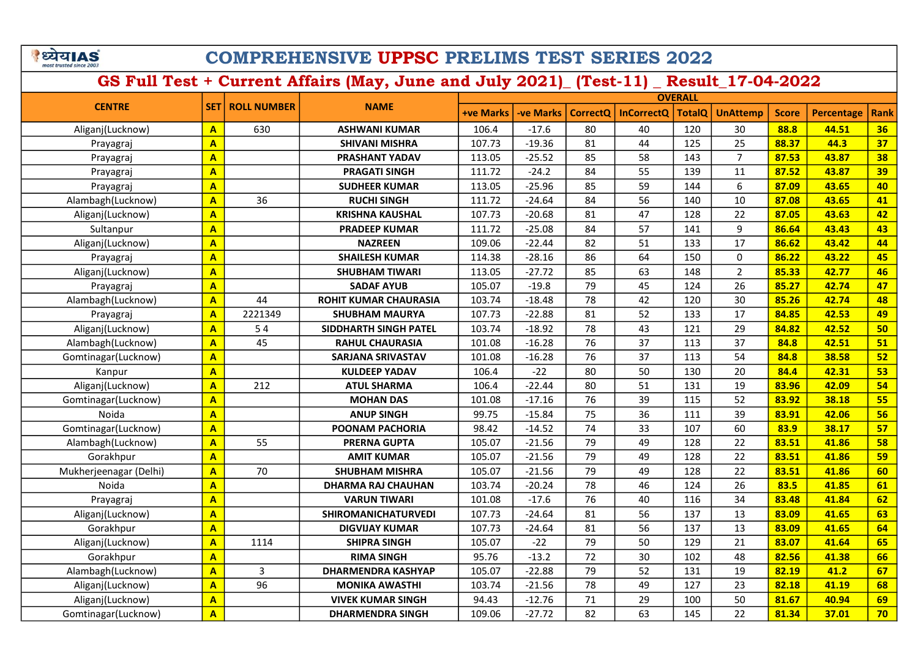े ध्येय AS

## COMPREHENSIVE UPPSC PRELIMS TEST SERIES 2022

|                        |                         |                    |                              | <b>OVERALL</b>   |           |                 |                   |               |                 |              |                   |             |
|------------------------|-------------------------|--------------------|------------------------------|------------------|-----------|-----------------|-------------------|---------------|-----------------|--------------|-------------------|-------------|
| <b>CENTRE</b>          | <b>SET1</b>             | <b>ROLL NUMBER</b> | <b>NAME</b>                  | <b>+ve Marks</b> | -ve Marks | <b>CorrectQ</b> | <b>InCorrectO</b> | <b>TotalQ</b> | <b>UnAttemp</b> | <b>Score</b> | <b>Percentage</b> | <b>Rank</b> |
| Aliganj(Lucknow)       | $\mathbf{A}$            | 630                | <b>ASHWANI KUMAR</b>         | 106.4            | $-17.6$   | 80              | 40                | 120           | 30              | 88.8         | 44.51             | 36          |
| Prayagraj              | $\mathbf{A}$            |                    | <b>SHIVANI MISHRA</b>        | 107.73           | $-19.36$  | 81              | 44                | 125           | 25              | 88.37        | 44.3              | 37          |
| Prayagraj              | $\overline{\mathbf{A}}$ |                    | <b>PRASHANT YADAV</b>        | 113.05           | $-25.52$  | 85              | 58                | 143           | $\overline{7}$  | 87.53        | 43.87             | 38          |
| Prayagraj              | $\overline{\mathbf{A}}$ |                    | <b>PRAGATI SINGH</b>         | 111.72           | $-24.2$   | 84              | 55                | 139           | 11              | 87.52        | 43.87             | 39          |
| Prayagraj              | $\overline{\mathbf{A}}$ |                    | <b>SUDHEER KUMAR</b>         | 113.05           | $-25.96$  | 85              | 59                | 144           | 6               | 87.09        | 43.65             | 40          |
| Alambagh(Lucknow)      | $\overline{\mathbf{A}}$ | 36                 | <b>RUCHI SINGH</b>           | 111.72           | $-24.64$  | 84              | 56                | 140           | 10              | 87.08        | 43.65             | 41          |
| Aliganj(Lucknow)       | $\overline{\mathbf{A}}$ |                    | <b>KRISHNA KAUSHAL</b>       | 107.73           | $-20.68$  | 81              | 47                | 128           | 22              | 87.05        | 43.63             | 42          |
| Sultanpur              | $\mathbf{A}$            |                    | <b>PRADEEP KUMAR</b>         | 111.72           | $-25.08$  | 84              | 57                | 141           | 9               | 86.64        | 43.43             | 43          |
| Aliganj(Lucknow)       | $\overline{\mathbf{A}}$ |                    | <b>NAZREEN</b>               | 109.06           | $-22.44$  | 82              | 51                | 133           | 17              | 86.62        | 43.42             | 44          |
| Prayagraj              | $\overline{\mathbf{A}}$ |                    | <b>SHAILESH KUMAR</b>        | 114.38           | $-28.16$  | 86              | 64                | 150           | $\mathbf{0}$    | 86.22        | 43.22             | 45          |
| Aliganj(Lucknow)       | $\mathbf{A}$            |                    | <b>SHUBHAM TIWARI</b>        | 113.05           | $-27.72$  | 85              | 63                | 148           | $\overline{2}$  | 85.33        | 42.77             | 46          |
| Prayagraj              | $\overline{\mathbf{A}}$ |                    | <b>SADAF AYUB</b>            | 105.07           | $-19.8$   | 79              | 45                | 124           | 26              | 85.27        | 42.74             | 47          |
| Alambagh(Lucknow)      | $\mathbf{A}$            | 44                 | <b>ROHIT KUMAR CHAURASIA</b> | 103.74           | $-18.48$  | 78              | 42                | 120           | 30              | 85.26        | 42.74             | 48          |
| Prayagraj              | $\mathbf{A}$            | 2221349            | <b>SHUBHAM MAURYA</b>        | 107.73           | $-22.88$  | 81              | 52                | 133           | 17              | 84.85        | 42.53             | 49          |
| Aliganj(Lucknow)       | $\mathbf{A}$            | 54                 | SIDDHARTH SINGH PATEL        | 103.74           | $-18.92$  | 78              | 43                | 121           | 29              | 84.82        | 42.52             | 50          |
| Alambagh(Lucknow)      | $\mathbf{A}$            | 45                 | <b>RAHUL CHAURASIA</b>       | 101.08           | $-16.28$  | 76              | 37                | 113           | 37              | 84.8         | 42.51             | 51          |
| Gomtinagar(Lucknow)    | $\mathbf{A}$            |                    | <b>SARJANA SRIVASTAV</b>     | 101.08           | $-16.28$  | 76              | 37                | 113           | 54              | 84.8         | 38.58             | 52          |
| Kanpur                 | $\mathbf{A}$            |                    | <b>KULDEEP YADAV</b>         | 106.4            | $-22$     | 80              | 50                | 130           | 20              | 84.4         | 42.31             | 53          |
| Aliganj(Lucknow)       | $\overline{\mathbf{A}}$ | 212                | <b>ATUL SHARMA</b>           | 106.4            | $-22.44$  | 80              | 51                | 131           | 19              | 83.96        | 42.09             | 54          |
| Gomtinagar(Lucknow)    | $\mathbf{A}$            |                    | <b>MOHAN DAS</b>             | 101.08           | $-17.16$  | 76              | 39                | 115           | 52              | 83.92        | 38.18             | 55          |
| Noida                  | $\overline{\mathbf{A}}$ |                    | <b>ANUP SINGH</b>            | 99.75            | $-15.84$  | 75              | 36                | 111           | 39              | 83.91        | 42.06             | 56          |
| Gomtinagar(Lucknow)    | $\overline{\mathbf{A}}$ |                    | POONAM PACHORIA              | 98.42            | $-14.52$  | 74              | 33                | 107           | 60              | 83.9         | 38.17             | 57          |
| Alambagh(Lucknow)      | $\mathbf{A}$            | 55                 | <b>PRERNA GUPTA</b>          | 105.07           | $-21.56$  | 79              | 49                | 128           | 22              | 83.51        | 41.86             | 58          |
| Gorakhpur              | $\overline{\mathbf{A}}$ |                    | <b>AMIT KUMAR</b>            | 105.07           | $-21.56$  | 79              | 49                | 128           | 22              | 83.51        | 41.86             | 59          |
| Mukherjeenagar (Delhi) | $\overline{\mathbf{A}}$ | 70                 | <b>SHUBHAM MISHRA</b>        | 105.07           | $-21.56$  | 79              | 49                | 128           | 22              | 83.51        | 41.86             | 60          |
| Noida                  | $\overline{\mathbf{A}}$ |                    | <b>DHARMA RAJ CHAUHAN</b>    | 103.74           | $-20.24$  | 78              | 46                | 124           | 26              | 83.5         | 41.85             | 61          |
| Prayagraj              | $\overline{\mathbf{A}}$ |                    | <b>VARUN TIWARI</b>          | 101.08           | $-17.6$   | 76              | 40                | 116           | 34              | 83.48        | 41.84             | 62          |
| Aliganj(Lucknow)       | $\overline{\mathbf{A}}$ |                    | <b>SHIROMANICHATURVEDI</b>   | 107.73           | $-24.64$  | 81              | 56                | 137           | 13              | 83.09        | 41.65             | 63          |
| Gorakhpur              | $\overline{\mathbf{A}}$ |                    | <b>DIGVIJAY KUMAR</b>        | 107.73           | $-24.64$  | 81              | 56                | 137           | 13              | 83.09        | 41.65             | 64          |
| Aliganj(Lucknow)       | $\overline{\mathbf{A}}$ | 1114               | <b>SHIPRA SINGH</b>          | 105.07           | $-22$     | 79              | 50                | 129           | 21              | 83.07        | 41.64             | 65          |
| Gorakhpur              | $\overline{\mathbf{A}}$ |                    | <b>RIMA SINGH</b>            | 95.76            | $-13.2$   | 72              | 30                | 102           | 48              | 82.56        | 41.38             | 66          |
| Alambagh(Lucknow)      | $\overline{A}$          | 3                  | <b>DHARMENDRA KASHYAP</b>    | 105.07           | $-22.88$  | 79              | 52                | 131           | 19              | 82.19        | 41.2              | 67          |
| Aliganj(Lucknow)       | $\mathbf{A}$            | 96                 | <b>MONIKA AWASTHI</b>        | 103.74           | $-21.56$  | 78              | 49                | 127           | 23              | 82.18        | 41.19             | 68          |
| Aliganj(Lucknow)       | $\mathbf{A}$            |                    | <b>VIVEK KUMAR SINGH</b>     | 94.43            | $-12.76$  | 71              | 29                | 100           | 50              | 81.67        | 40.94             | 69          |
| Gomtinagar(Lucknow)    | $\overline{A}$          |                    | <b>DHARMENDRA SINGH</b>      | 109.06           | $-27.72$  | 82              | 63                | 145           | 22              | 81.34        | 37.01             | 70          |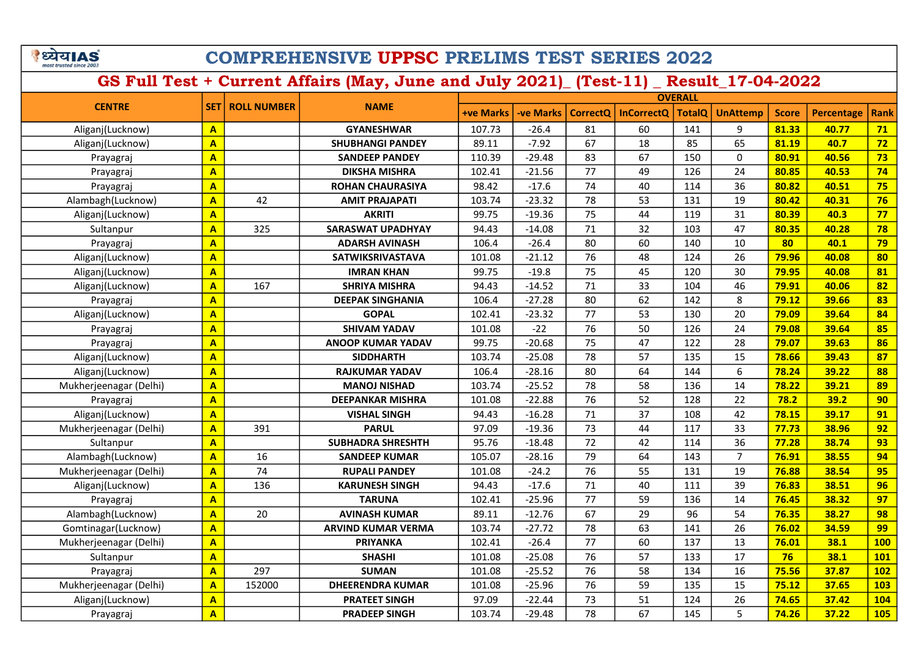|                         | ा। A |  |
|-------------------------|------|--|
| most trusted since 200. |      |  |

|                        |                         |                    |                           | <b>OVERALL</b>   |                  |                 |                   |               |                 |              |                   |             |
|------------------------|-------------------------|--------------------|---------------------------|------------------|------------------|-----------------|-------------------|---------------|-----------------|--------------|-------------------|-------------|
| <b>CENTRE</b>          | <b>SET</b>              | <b>ROLL NUMBER</b> | <b>NAME</b>               | <b>+ve Marks</b> | <b>-ve Marks</b> | <b>CorrectQ</b> | <b>InCorrectQ</b> | <b>TotalQ</b> | <b>UnAttemp</b> | <b>Score</b> | <b>Percentage</b> | <b>Rank</b> |
| Aliganj(Lucknow)       | $\mathbf{A}$            |                    | <b>GYANESHWAR</b>         | 107.73           | $-26.4$          | 81              | 60                | 141           | 9               | 81.33        | 40.77             | 71          |
| Aliganj(Lucknow)       | $\mathbf{A}$            |                    | <b>SHUBHANGI PANDEY</b>   | 89.11            | $-7.92$          | 67              | 18                | 85            | 65              | 81.19        | 40.7              | 72          |
| Prayagraj              | $\overline{\mathbf{A}}$ |                    | <b>SANDEEP PANDEY</b>     | 110.39           | $-29.48$         | 83              | 67                | 150           | $\mathbf{0}$    | 80.91        | 40.56             | 73          |
| Prayagraj              | $\overline{\mathsf{A}}$ |                    | <b>DIKSHA MISHRA</b>      | 102.41           | $-21.56$         | 77              | 49                | 126           | 24              | 80.85        | 40.53             | 74          |
| Prayagraj              | $\overline{\mathsf{A}}$ |                    | <b>ROHAN CHAURASIYA</b>   | 98.42            | $-17.6$          | 74              | 40                | 114           | 36              | 80.82        | 40.51             | 75          |
| Alambagh(Lucknow)      | $\overline{\mathbf{A}}$ | 42                 | <b>AMIT PRAJAPATI</b>     | 103.74           | $-23.32$         | 78              | 53                | 131           | 19              | 80.42        | 40.31             | 76          |
| Aliganj(Lucknow)       | $\overline{\mathbf{A}}$ |                    | <b>AKRITI</b>             | 99.75            | $-19.36$         | 75              | 44                | 119           | 31              | 80.39        | 40.3              | 77          |
| Sultanpur              | $\overline{\mathbf{A}}$ | 325                | <b>SARASWAT UPADHYAY</b>  | 94.43            | $-14.08$         | 71              | 32                | 103           | 47              | 80.35        | 40.28             | 78          |
| Prayagraj              | $\overline{\mathbf{A}}$ |                    | <b>ADARSH AVINASH</b>     | 106.4            | $-26.4$          | 80              | 60                | 140           | 10              | 80           | 40.1              | 79          |
| Aliganj(Lucknow)       | $\overline{\mathsf{A}}$ |                    | <b>SATWIKSRIVASTAVA</b>   | 101.08           | $-21.12$         | 76              | 48                | 124           | 26              | 79.96        | 40.08             | 80          |
| Aliganj(Lucknow)       | $\overline{\mathbf{A}}$ |                    | <b>IMRAN KHAN</b>         | 99.75            | $-19.8$          | 75              | 45                | 120           | 30              | 79.95        | 40.08             | 81          |
| Aliganj(Lucknow)       | $\overline{\mathbf{A}}$ | 167                | <b>SHRIYA MISHRA</b>      | 94.43            | $-14.52$         | 71              | 33                | 104           | 46              | 79.91        | 40.06             | 82          |
| Prayagraj              | $\overline{\mathbf{A}}$ |                    | <b>DEEPAK SINGHANIA</b>   | 106.4            | $-27.28$         | 80              | 62                | 142           | 8               | 79.12        | 39.66             | 83          |
| Aliganj(Lucknow)       | $\overline{\mathbf{A}}$ |                    | <b>GOPAL</b>              | 102.41           | $-23.32$         | 77              | 53                | 130           | 20              | 79.09        | 39.64             | 84          |
| Prayagraj              | $\overline{\mathbf{A}}$ |                    | <b>SHIVAM YADAV</b>       | 101.08           | $-22$            | 76              | 50                | 126           | 24              | 79.08        | 39.64             | 85          |
| Prayagraj              | $\overline{\mathbf{A}}$ |                    | <b>ANOOP KUMAR YADAV</b>  | 99.75            | $-20.68$         | 75              | 47                | 122           | 28              | 79.07        | 39.63             | 86          |
| Aliganj(Lucknow)       | $\overline{A}$          |                    | <b>SIDDHARTH</b>          | 103.74           | $-25.08$         | 78              | 57                | 135           | 15              | 78.66        | 39.43             | 87          |
| Aliganj(Lucknow)       | $\overline{\mathsf{A}}$ |                    | <b>RAJKUMAR YADAV</b>     | 106.4            | $-28.16$         | 80              | 64                | 144           | 6               | 78.24        | 39.22             | 88          |
| Mukherjeenagar (Delhi) | A                       |                    | <b>MANOJ NISHAD</b>       | 103.74           | $-25.52$         | 78              | 58                | 136           | 14              | 78.22        | 39.21             | 89          |
| Prayagraj              | $\mathbf{A}$            |                    | <b>DEEPANKAR MISHRA</b>   | 101.08           | $-22.88$         | 76              | 52                | 128           | 22              | 78.2         | 39.2              | 90          |
| Aliganj(Lucknow)       | $\overline{\mathsf{A}}$ |                    | <b>VISHAL SINGH</b>       | 94.43            | $-16.28$         | 71              | 37                | 108           | 42              | 78.15        | 39.17             | 91          |
| Mukherjeenagar (Delhi) | $\overline{\mathbf{A}}$ | 391                | <b>PARUL</b>              | 97.09            | $-19.36$         | 73              | 44                | 117           | 33              | 77.73        | 38.96             | 92          |
| Sultanpur              | $\overline{\mathsf{A}}$ |                    | <b>SUBHADRA SHRESHTH</b>  | 95.76            | $-18.48$         | 72              | 42                | 114           | 36              | 77.28        | 38.74             | 93          |
| Alambagh(Lucknow)      | $\overline{\mathsf{A}}$ | 16                 | <b>SANDEEP KUMAR</b>      | 105.07           | $-28.16$         | 79              | 64                | 143           | $\overline{7}$  | 76.91        | 38.55             | 94          |
| Mukherjeenagar (Delhi) | $\overline{\mathsf{A}}$ | 74                 | <b>RUPALI PANDEY</b>      | 101.08           | $-24.2$          | 76              | 55                | 131           | 19              | 76.88        | 38.54             | 95          |
| Aliganj(Lucknow)       | $\overline{\mathsf{A}}$ | 136                | <b>KARUNESH SINGH</b>     | 94.43            | $-17.6$          | 71              | 40                | 111           | 39              | 76.83        | 38.51             | 96          |
| Prayagraj              | $\overline{\mathsf{A}}$ |                    | <b>TARUNA</b>             | 102.41           | $-25.96$         | 77              | 59                | 136           | 14              | 76.45        | 38.32             | 97          |
| Alambagh(Lucknow)      | $\overline{\mathbf{A}}$ | 20                 | <b>AVINASH KUMAR</b>      | 89.11            | $-12.76$         | 67              | 29                | 96            | 54              | 76.35        | 38.27             | 98          |
| Gomtinagar(Lucknow)    | $\overline{\mathsf{A}}$ |                    | <b>ARVIND KUMAR VERMA</b> | 103.74           | $-27.72$         | 78              | 63                | 141           | 26              | 76.02        | 34.59             | 99          |
| Mukherjeenagar (Delhi) | $\overline{\mathsf{A}}$ |                    | <b>PRIYANKA</b>           | 102.41           | $-26.4$          | 77              | 60                | 137           | 13              | 76.01        | 38.1              | 100         |
| Sultanpur              | $\mathbf{A}$            |                    | <b>SHASHI</b>             | 101.08           | $-25.08$         | 76              | 57                | 133           | 17              | 76           | 38.1              | <b>101</b>  |
| Prayagraj              | $\overline{\mathsf{A}}$ | 297                | <b>SUMAN</b>              | 101.08           | $-25.52$         | 76              | 58                | 134           | 16              | 75.56        | 37.87             | 102         |
| Mukherjeenagar (Delhi) | $\mathbf{A}$            | 152000             | <b>DHEERENDRA KUMAR</b>   | 101.08           | $-25.96$         | 76              | 59                | 135           | 15              | 75.12        | 37.65             | 103         |
| Aliganj(Lucknow)       | $\overline{\mathsf{A}}$ |                    | <b>PRATEET SINGH</b>      | 97.09            | $-22.44$         | 73              | 51                | 124           | 26              | 74.65        | 37.42             | 104         |
| Prayagraj              | $\overline{\mathsf{A}}$ |                    | <b>PRADEEP SINGH</b>      | 103.74           | $-29.48$         | 78              | 67                | 145           | 5               | 74.26        | 37.22             | 105         |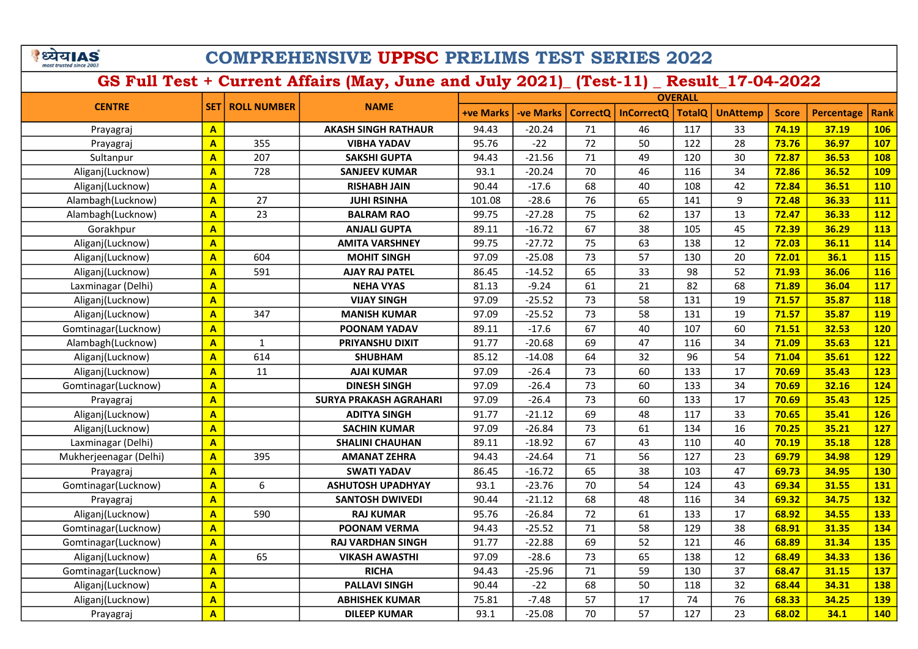|                         | य।A |  |
|-------------------------|-----|--|
| most trusted since 2003 |     |  |

|                        |                         |                    |                               | <b>OVERALL</b>   |                  |                 |                   |               |                 |              |            |             |
|------------------------|-------------------------|--------------------|-------------------------------|------------------|------------------|-----------------|-------------------|---------------|-----------------|--------------|------------|-------------|
| <b>CENTRE</b>          | <b>SET1</b>             | <b>ROLL NUMBER</b> | <b>NAME</b>                   | <b>+ve Marks</b> | <b>-ve Marks</b> | <b>CorrectQ</b> | <b>InCorrectQ</b> | <b>TotalO</b> | <b>UnAttemp</b> | <b>Score</b> | Percentage | <b>Rank</b> |
| Prayagraj              | $\overline{\mathbf{A}}$ |                    | <b>AKASH SINGH RATHAUR</b>    | 94.43            | $-20.24$         | 71              | 46                | 117           | 33              | 74.19        | 37.19      | 106         |
| Prayagraj              | $\mathbf{A}$            | 355                | <b>VIBHA YADAV</b>            | 95.76            | $-22$            | 72              | 50                | 122           | 28              | 73.76        | 36.97      | <b>107</b>  |
| Sultanpur              | $\overline{\mathsf{A}}$ | 207                | <b>SAKSHI GUPTA</b>           | 94.43            | $-21.56$         | 71              | 49                | 120           | 30              | 72.87        | 36.53      | <b>108</b>  |
| Aliganj(Lucknow)       | $\overline{\mathsf{A}}$ | 728                | <b>SANJEEV KUMAR</b>          | 93.1             | $-20.24$         | 70              | 46                | 116           | 34              | 72.86        | 36.52      | <b>109</b>  |
| Aliganj(Lucknow)       | $\overline{\mathbf{A}}$ |                    | <b>RISHABH JAIN</b>           | 90.44            | $-17.6$          | 68              | 40                | 108           | 42              | 72.84        | 36.51      | <b>110</b>  |
| Alambagh(Lucknow)      | $\overline{\mathbf{A}}$ | 27                 | <b>JUHI RSINHA</b>            | 101.08           | $-28.6$          | 76              | 65                | 141           | 9               | 72.48        | 36.33      | 111         |
| Alambagh(Lucknow)      | $\overline{\mathsf{A}}$ | 23                 | <b>BALRAM RAO</b>             | 99.75            | $-27.28$         | 75              | 62                | 137           | 13              | 72.47        | 36.33      | <b>112</b>  |
| Gorakhpur              | $\overline{\mathsf{A}}$ |                    | <b>ANJALI GUPTA</b>           | 89.11            | $-16.72$         | 67              | 38                | 105           | 45              | 72.39        | 36.29      | <b>113</b>  |
| Aliganj(Lucknow)       | $\overline{\mathbf{A}}$ |                    | <b>AMITA VARSHNEY</b>         | 99.75            | $-27.72$         | 75              | 63                | 138           | 12              | 72.03        | 36.11      | 114         |
| Aliganj(Lucknow)       | $\mathbf{A}$            | 604                | <b>MOHIT SINGH</b>            | 97.09            | $-25.08$         | 73              | 57                | 130           | 20              | 72.01        | 36.1       | <b>115</b>  |
| Aliganj(Lucknow)       | $\overline{\mathbf{A}}$ | 591                | <b>AJAY RAJ PATEL</b>         | 86.45            | $-14.52$         | 65              | 33                | 98            | 52              | 71.93        | 36.06      | <b>116</b>  |
| Laxminagar (Delhi)     | $\overline{\mathsf{A}}$ |                    | <b>NEHA VYAS</b>              | 81.13            | $-9.24$          | 61              | 21                | 82            | 68              | 71.89        | 36.04      | <b>117</b>  |
| Aliganj(Lucknow)       | $\mathbf{A}$            |                    | <b>VIJAY SINGH</b>            | 97.09            | $-25.52$         | 73              | 58                | 131           | 19              | 71.57        | 35.87      | <b>118</b>  |
| Aliganj(Lucknow)       | $\mathbf{A}$            | 347                | <b>MANISH KUMAR</b>           | 97.09            | $-25.52$         | 73              | 58                | 131           | 19              | 71.57        | 35.87      | <b>119</b>  |
| Gomtinagar(Lucknow)    | $\overline{\mathbf{A}}$ |                    | <b>POONAM YADAV</b>           | 89.11            | $-17.6$          | 67              | 40                | 107           | 60              | 71.51        | 32.53      | <b>120</b>  |
| Alambagh(Lucknow)      | $\overline{\mathsf{A}}$ | $\mathbf{1}$       | PRIYANSHU DIXIT               | 91.77            | $-20.68$         | 69              | 47                | 116           | 34              | 71.09        | 35.63      | <b>121</b>  |
| Aliganj(Lucknow)       | $\mathbf{A}$            | 614                | <b>SHUBHAM</b>                | 85.12            | $-14.08$         | 64              | 32                | 96            | 54              | 71.04        | 35.61      | <b>122</b>  |
| Aliganj(Lucknow)       | $\mathbf{A}$            | 11                 | <b>AJAI KUMAR</b>             | 97.09            | $-26.4$          | 73              | 60                | 133           | 17              | 70.69        | 35.43      | <b>123</b>  |
| Gomtinagar(Lucknow)    | $\mathbf{A}$            |                    | <b>DINESH SINGH</b>           | 97.09            | $-26.4$          | 73              | 60                | 133           | 34              | 70.69        | 32.16      | 124         |
| Prayagraj              | $\mathbf{A}$            |                    | <b>SURYA PRAKASH AGRAHARI</b> | 97.09            | $-26.4$          | 73              | 60                | 133           | 17              | 70.69        | 35.43      | <b>125</b>  |
| Aliganj(Lucknow)       | $\overline{\mathbf{A}}$ |                    | <b>ADITYA SINGH</b>           | 91.77            | $-21.12$         | 69              | 48                | 117           | 33              | 70.65        | 35.41      | <b>126</b>  |
| Aliganj(Lucknow)       | $\mathbf{A}$            |                    | <b>SACHIN KUMAR</b>           | 97.09            | $-26.84$         | 73              | 61                | 134           | 16              | 70.25        | 35.21      | <b>127</b>  |
| Laxminagar (Delhi)     | $\mathbf{A}$            |                    | <b>SHALINI CHAUHAN</b>        | 89.11            | $-18.92$         | 67              | 43                | 110           | 40              | 70.19        | 35.18      | <b>128</b>  |
| Mukherjeenagar (Delhi) | $\mathbf{A}$            | 395                | <b>AMANAT ZEHRA</b>           | 94.43            | $-24.64$         | 71              | 56                | 127           | 23              | 69.79        | 34.98      | <b>129</b>  |
| Prayagraj              | $\mathbf{A}$            |                    | <b>SWATI YADAV</b>            | 86.45            | $-16.72$         | 65              | 38                | 103           | 47              | 69.73        | 34.95      | <b>130</b>  |
| Gomtinagar(Lucknow)    | $\mathbf{A}$            | 6                  | <b>ASHUTOSH UPADHYAY</b>      | 93.1             | $-23.76$         | 70              | 54                | 124           | 43              | 69.34        | 31.55      | <b>131</b>  |
| Prayagraj              | $\mathbf{A}$            |                    | <b>SANTOSH DWIVEDI</b>        | 90.44            | $-21.12$         | 68              | 48                | 116           | 34              | 69.32        | 34.75      | <b>132</b>  |
| Aliganj(Lucknow)       | $\mathbf{A}$            | 590                | <b>RAJ KUMAR</b>              | 95.76            | $-26.84$         | 72              | 61                | 133           | 17              | 68.92        | 34.55      | 133         |
| Gomtinagar(Lucknow)    | $\overline{\mathbf{A}}$ |                    | <b>POONAM VERMA</b>           | 94.43            | $-25.52$         | 71              | 58                | 129           | 38              | 68.91        | 31.35      | 134         |
| Gomtinagar(Lucknow)    | $\mathbf{A}$            |                    | RAJ VARDHAN SINGH             | 91.77            | $-22.88$         | 69              | 52                | 121           | 46              | 68.89        | 31.34      | <b>135</b>  |
| Aliganj(Lucknow)       | $\mathbf{A}$            | 65                 | <b>VIKASH AWASTHI</b>         | 97.09            | $-28.6$          | 73              | 65                | 138           | 12              | 68.49        | 34.33      | <b>136</b>  |
| Gomtinagar(Lucknow)    | $\mathbf{A}$            |                    | <b>RICHA</b>                  | 94.43            | $-25.96$         | 71              | 59                | 130           | 37              | 68.47        | 31.15      | <b>137</b>  |
| Aliganj(Lucknow)       | $\mathbf{A}$            |                    | <b>PALLAVI SINGH</b>          | 90.44            | $-22$            | 68              | 50                | 118           | 32              | 68.44        | 34.31      | <b>138</b>  |
| Aliganj(Lucknow)       | $\mathbf{A}$            |                    | <b>ABHISHEK KUMAR</b>         | 75.81            | $-7.48$          | 57              | 17                | 74            | 76              | 68.33        | 34.25      | <b>139</b>  |
| Prayagraj              | $\overline{\mathbf{A}}$ |                    | <b>DILEEP KUMAR</b>           | 93.1             | $-25.08$         | 70              | 57                | 127           | 23              | 68.02        | 34.1       | 140         |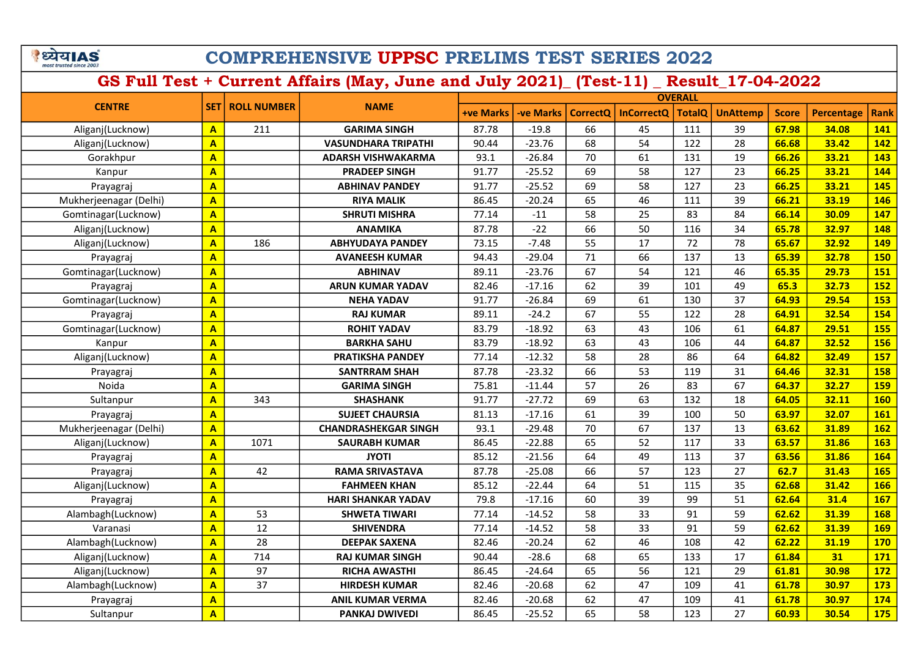| घ।∆                     |  |
|-------------------------|--|
| most trusted since 2003 |  |

|                        |                         |                    |                             |                  |           |                 |                   | <b>OVERALL</b> |                 |              |                   |             |
|------------------------|-------------------------|--------------------|-----------------------------|------------------|-----------|-----------------|-------------------|----------------|-----------------|--------------|-------------------|-------------|
| <b>CENTRE</b>          | <b>SET</b>              | <b>ROLL NUMBER</b> | <b>NAME</b>                 | <b>+ve Marks</b> | -ve Marks | <b>CorrectQ</b> | <b>InCorrectQ</b> | <b>TotalQ</b>  | <b>UnAttemp</b> | <b>Score</b> | <b>Percentage</b> | <b>Rank</b> |
| Aliganj(Lucknow)       | $\overline{A}$          | 211                | <b>GARIMA SINGH</b>         | 87.78            | $-19.8$   | 66              | 45                | 111            | 39              | 67.98        | 34.08             | 141         |
| Aliganj(Lucknow)       | $\mathbf{A}$            |                    | <b>VASUNDHARA TRIPATHI</b>  | 90.44            | $-23.76$  | 68              | 54                | 122            | 28              | 66.68        | 33.42             | 142         |
| Gorakhpur              | A                       |                    | <b>ADARSH VISHWAKARMA</b>   | 93.1             | $-26.84$  | 70              | 61                | 131            | 19              | 66.26        | 33.21             | 143         |
| Kanpur                 | $\overline{\mathbf{A}}$ |                    | <b>PRADEEP SINGH</b>        | 91.77            | $-25.52$  | 69              | 58                | 127            | 23              | 66.25        | 33.21             | 144         |
| Prayagraj              | $\overline{\mathbf{A}}$ |                    | <b>ABHINAV PANDEY</b>       | 91.77            | $-25.52$  | 69              | 58                | 127            | 23              | 66.25        | 33.21             | 145         |
| Mukherjeenagar (Delhi) | $\mathbf{A}$            |                    | <b>RIYA MALIK</b>           | 86.45            | $-20.24$  | 65              | 46                | 111            | 39              | 66.21        | 33.19             | 146         |
| Gomtinagar(Lucknow)    | $\mathbf{A}$            |                    | <b>SHRUTI MISHRA</b>        | 77.14            | $-11$     | 58              | 25                | 83             | 84              | 66.14        | 30.09             | 147         |
| Aliganj(Lucknow)       | $\overline{\mathbf{A}}$ |                    | <b>ANAMIKA</b>              | 87.78            | $-22$     | 66              | 50                | 116            | 34              | 65.78        | 32.97             | 148         |
| Aliganj(Lucknow)       | $\mathbf{A}$            | 186                | <b>ABHYUDAYA PANDEY</b>     | 73.15            | $-7.48$   | 55              | 17                | 72             | 78              | 65.67        | 32.92             | <b>149</b>  |
| Prayagraj              | $\overline{\mathbf{A}}$ |                    | <b>AVANEESH KUMAR</b>       | 94.43            | $-29.04$  | 71              | 66                | 137            | 13              | 65.39        | 32.78             | <b>150</b>  |
| Gomtinagar(Lucknow)    | $\overline{\mathbf{A}}$ |                    | <b>ABHINAV</b>              | 89.11            | $-23.76$  | 67              | 54                | 121            | 46              | 65.35        | 29.73             | 151         |
| Prayagraj              | $\mathbf{A}$            |                    | <b>ARUN KUMAR YADAV</b>     | 82.46            | $-17.16$  | 62              | 39                | 101            | 49              | 65.3         | 32.73             | <b>152</b>  |
| Gomtinagar(Lucknow)    | $\overline{\mathbf{A}}$ |                    | <b>NEHA YADAV</b>           | 91.77            | $-26.84$  | 69              | 61                | 130            | 37              | 64.93        | 29.54             | <b>153</b>  |
| Prayagraj              | $\mathbf{A}$            |                    | <b>RAJ KUMAR</b>            | 89.11            | $-24.2$   | 67              | 55                | 122            | 28              | 64.91        | 32.54             | 154         |
| Gomtinagar(Lucknow)    | $\mathbf{A}$            |                    | <b>ROHIT YADAV</b>          | 83.79            | $-18.92$  | 63              | 43                | 106            | 61              | 64.87        | 29.51             | <b>155</b>  |
| Kanpur                 | $\mathbf{A}$            |                    | <b>BARKHA SAHU</b>          | 83.79            | $-18.92$  | 63              | 43                | 106            | 44              | 64.87        | 32.52             | <b>156</b>  |
| Aliganj(Lucknow)       | $\mathbf{A}$            |                    | <b>PRATIKSHA PANDEY</b>     | 77.14            | $-12.32$  | 58              | 28                | 86             | 64              | 64.82        | 32.49             | 157         |
| Prayagraj              | $\mathbf{A}$            |                    | <b>SANTRRAM SHAH</b>        | 87.78            | $-23.32$  | 66              | 53                | 119            | 31              | 64.46        | 32.31             | <b>158</b>  |
| Noida                  | $\mathbf{A}$            |                    | <b>GARIMA SINGH</b>         | 75.81            | $-11.44$  | 57              | 26                | 83             | 67              | 64.37        | 32.27             | <b>159</b>  |
| Sultanpur              | $\mathbf{A}$            | 343                | <b>SHASHANK</b>             | 91.77            | $-27.72$  | 69              | 63                | 132            | 18              | 64.05        | 32.11             | 160         |
| Prayagraj              | $\mathbf{A}$            |                    | <b>SUJEET CHAURSIA</b>      | 81.13            | $-17.16$  | 61              | 39                | 100            | 50              | 63.97        | 32.07             | <b>161</b>  |
| Mukherjeenagar (Delhi) | $\mathbf{A}$            |                    | <b>CHANDRASHEKGAR SINGH</b> | 93.1             | $-29.48$  | 70              | 67                | 137            | 13              | 63.62        | 31.89             | <b>162</b>  |
| Aliganj(Lucknow)       | $\overline{\mathbf{A}}$ | 1071               | <b>SAURABH KUMAR</b>        | 86.45            | $-22.88$  | 65              | 52                | 117            | 33              | 63.57        | 31.86             | 163         |
| Prayagraj              | $\mathbf{A}$            |                    | <b>ITOYL</b>                | 85.12            | $-21.56$  | 64              | 49                | 113            | 37              | 63.56        | 31.86             | 164         |
| Prayagraj              | $\overline{\mathbf{A}}$ | 42                 | <b>RAMA SRIVASTAVA</b>      | 87.78            | $-25.08$  | 66              | 57                | 123            | 27              | 62.7         | 31.43             | <b>165</b>  |
| Aliganj(Lucknow)       | $\mathbf{A}$            |                    | <b>FAHMEEN KHAN</b>         | 85.12            | $-22.44$  | 64              | 51                | 115            | 35              | 62.68        | 31.42             | 166         |
| Prayagraj              | $\mathbf{A}$            |                    | <b>HARI SHANKAR YADAV</b>   | 79.8             | $-17.16$  | 60              | 39                | 99             | 51              | 62.64        | 31.4              | <b>167</b>  |
| Alambagh(Lucknow)      | $\overline{\mathbf{A}}$ | 53                 | <b>SHWETA TIWARI</b>        | 77.14            | $-14.52$  | 58              | 33                | 91             | 59              | 62.62        | 31.39             | <b>168</b>  |
| Varanasi               | $\overline{A}$          | 12                 | <b>SHIVENDRA</b>            | 77.14            | $-14.52$  | 58              | 33                | 91             | 59              | 62.62        | 31.39             | <b>169</b>  |
| Alambagh(Lucknow)      | $\mathbf{A}$            | 28                 | <b>DEEPAK SAXENA</b>        | 82.46            | $-20.24$  | 62              | 46                | 108            | 42              | 62.22        | 31.19             | 170         |
| Aliganj(Lucknow)       | $\mathbf{A}$            | 714                | <b>RAJ KUMAR SINGH</b>      | 90.44            | $-28.6$   | 68              | 65                | 133            | 17              | 61.84        | 31                | 171         |
| Aliganj(Lucknow)       | $\overline{A}$          | 97                 | <b>RICHA AWASTHI</b>        | 86.45            | $-24.64$  | 65              | 56                | 121            | 29              | 61.81        | 30.98             | 172         |
| Alambagh(Lucknow)      | $\mathbf{A}$            | 37                 | <b>HIRDESH KUMAR</b>        | 82.46            | $-20.68$  | 62              | 47                | 109            | 41              | 61.78        | 30.97             | 173         |
| Prayagraj              | $\mathbf{A}$            |                    | <b>ANIL KUMAR VERMA</b>     | 82.46            | $-20.68$  | 62              | 47                | 109            | 41              | 61.78        | 30.97             | 174         |
| Sultanpur              | $\overline{\mathbf{A}}$ |                    | <b>PANKAJ DWIVEDI</b>       | 86.45            | $-25.52$  | 65              | 58                | 123            | 27              | 60.93        | 30.54             | 175         |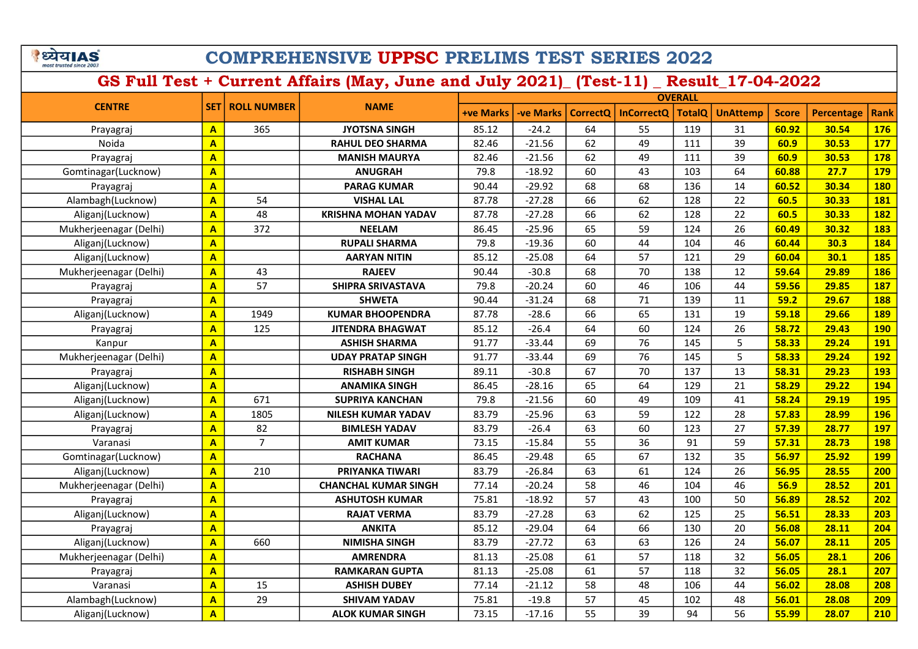| ध्येयIAS<br>nost trusted since 200 | <b>COMPREHENSIVE UPPSC PRELIMS TEST SERIES 2022</b> |                          |                                                                                      |                  |           |    |                       |                |                 |              |                   |            |
|------------------------------------|-----------------------------------------------------|--------------------------|--------------------------------------------------------------------------------------|------------------|-----------|----|-----------------------|----------------|-----------------|--------------|-------------------|------------|
|                                    |                                                     |                          | GS Full Test + Current Affairs (May, June and July 2021) [Test-11) Result 17-04-2022 |                  |           |    |                       |                |                 |              |                   |            |
|                                    |                                                     |                          |                                                                                      |                  |           |    |                       | <b>OVERALL</b> |                 |              |                   |            |
| <b>CENTRE</b>                      |                                                     | <b>SET   ROLL NUMBER</b> | <b>NAME</b>                                                                          | <b>+ve Marks</b> | -ve Marks |    | CorrectQ   InCorrectQ | <b>TotalQ</b>  | <b>UnAttemp</b> | <b>Score</b> | <b>Percentage</b> | Rank       |
| Prayagraj                          | $\mathbf{A}$                                        | 365                      | <b>JYOTSNA SINGH</b>                                                                 | 85.12            | $-24.2$   | 64 | 55                    | 119            | 31              | 60.92        | 30.54             | <b>176</b> |
| Noida                              | A                                                   |                          | <b>RAHUL DEO SHARMA</b>                                                              | 82.46            | $-21.56$  | 62 | 49                    | 111            | 39              | 60.9         | 30.53             | <b>177</b> |
| Prayagraj                          | A                                                   |                          | <b>MANISH MAURYA</b>                                                                 | 82.46            | $-21.56$  | 62 | 49                    | 111            | 39              | 60.9         | 30.53             | <b>178</b> |
| Gomtinagar(Lucknow)                | $\overline{\mathbf{A}}$                             |                          | <b>ANUGRAH</b>                                                                       | 79.8             | $-18.92$  | 60 | 43                    | 103            | 64              | 60.88        | 27.7              | <b>179</b> |
| Prayagraj                          | A                                                   |                          | <b>PARAG KUMAR</b>                                                                   | 90.44            | $-29.92$  | 68 | 68                    | 136            | 14              | 60.52        | 30.34             | <b>180</b> |
| Alambagh(Lucknow)                  | $\mathbf{A}$                                        | 54                       | <b>VISHAL LAL</b>                                                                    | 87.78            | $-27.28$  | 66 | 62                    | 128            | 22              | 60.5         | 30.33             | <b>181</b> |
| Aliganj(Lucknow)                   | $\mathbf{A}$                                        | 48                       | <b>KRISHNA MOHAN YADAV</b>                                                           | 87.78            | $-27.28$  | 66 | 62                    | 128            | 22              | 60.5         | 30.33             | <b>182</b> |
| Mukherjeenagar (Delhi)             | $\overline{\mathbf{A}}$                             | 372                      | <b>NEELAM</b>                                                                        | 86.45            | $-25.96$  | 65 | 59                    | 124            | 26              | 60.49        | 30.32             | <b>183</b> |
| Aliganj(Lucknow)                   | $\mathbf{A}$                                        |                          | <b>RUPALI SHARMA</b>                                                                 | 79.8             | $-19.36$  | 60 | 44                    | 104            | 46              | 60.44        | 30.3              | <b>184</b> |
| Aliganj(Lucknow)                   | A                                                   |                          | <b>AARYAN NITIN</b>                                                                  | 85.12            | $-25.08$  | 64 | 57                    | 121            | 29              | 60.04        | 30.1              | <b>185</b> |
| Mukherjeenagar (Delhi)             | $\mathbf{A}$                                        | 43                       | <b>RAJEEV</b>                                                                        | 90.44            | $-30.8$   | 68 | 70                    | 138            | 12              | 59.64        | 29.89             | <b>186</b> |
| Prayagraj                          | $\mathbf{A}$                                        | 57                       | <b>SHIPRA SRIVASTAVA</b>                                                             | 79.8             | $-20.24$  | 60 | 46                    | 106            | 44              | 59.56        | 29.85             | <b>187</b> |
| Prayagraj                          | A                                                   |                          | <b>SHWETA</b>                                                                        | 90.44            | $-31.24$  | 68 | 71                    | 139            | 11              | 59.2         | 29.67             | <b>188</b> |
| Aliganj(Lucknow)                   | $\overline{\mathbf{A}}$                             | 1949                     | <b>KUMAR BHOOPENDRA</b>                                                              | 87.78            | $-28.6$   | 66 | 65                    | 131            | 19              | 59.18        | 29.66             | <b>189</b> |
| Prayagraj                          | $\mathbf{A}$                                        | 125                      | <b>JITENDRA BHAGWAT</b>                                                              | 85.12            | $-26.4$   | 64 | 60                    | 124            | 26              | 58.72        | 29.43             | <b>190</b> |
| Kanpur                             | A                                                   |                          | <b>ASHISH SHARMA</b>                                                                 | 91.77            | $-33.44$  | 69 | 76                    | 145            | 5               | 58.33        | 29.24             | <b>191</b> |
| Mukherjeenagar (Delhi)             | $\mathbf{A}$                                        |                          | <b>UDAY PRATAP SINGH</b>                                                             | 91.77            | $-33.44$  | 69 | 76                    | 145            | 5               | 58.33        | 29.24             | <b>192</b> |
| Prayagraj                          | $\mathbf{A}$                                        |                          | <b>RISHABH SINGH</b>                                                                 | 89.11            | $-30.8$   | 67 | 70                    | 137            | 13              | 58.31        | 29.23             | <b>193</b> |
| Aliganj(Lucknow)                   | $\overline{\mathsf{A}}$                             |                          | <b>ANAMIKA SINGH</b>                                                                 | 86.45            | $-28.16$  | 65 | 64                    | 129            | 21              | 58.29        | 29.22             | 194        |
| Aliganj(Lucknow)                   | $\mathbf{A}$                                        | 671                      | <b>SUPRIYA KANCHAN</b>                                                               | 79.8             | $-21.56$  | 60 | 49                    | 109            | 41              | 58.24        | 29.19             | <b>195</b> |
| Aliganj(Lucknow)                   | A                                                   | 1805                     | <b>NILESH KUMAR YADAV</b>                                                            | 83.79            | $-25.96$  | 63 | 59                    | 122            | 28              | 57.83        | 28.99             | <b>196</b> |
| Prayagraj                          | $\mathbf{A}$                                        | 82                       | <b>BIMLESH YADAV</b>                                                                 | 83.79            | $-26.4$   | 63 | 60                    | 123            | 27              | 57.39        | 28.77             | <b>197</b> |
| Varanasi                           | $\overline{\mathbf{A}}$                             | $\overline{7}$           | <b>AMIT KUMAR</b>                                                                    | 73.15            | $-15.84$  | 55 | 36                    | 91             | 59              | 57.31        | 28.73             | <b>198</b> |
| Gomtinagar(Lucknow)                | A                                                   |                          | <b>RACHANA</b>                                                                       | 86.45            | $-29.48$  | 65 | 67                    | 132            | 35              | 56.97        | 25.92             | <b>199</b> |
| Aliganj(Lucknow)                   | $\overline{\mathbf{A}}$                             | 210                      | PRIYANKA TIWARI                                                                      | 83.79            | $-26.84$  | 63 | 61                    | 124            | 26              | 56.95        | 28.55             | 200        |
| Mukherjeenagar (Delhi)             | $\mathbf{A}$                                        |                          | <b>CHANCHAL KUMAR SINGH</b>                                                          | 77.14            | $-20.24$  | 58 | 46                    | 104            | 46              | 56.9         | 28.52             | 201        |
| Prayagraj                          | A                                                   |                          | <b>ASHUTOSH KUMAR</b>                                                                | 75.81            | $-18.92$  | 57 | 43                    | 100            | 50              | 56.89        | 28.52             | 202        |
| Aliganj(Lucknow)                   | $\mathbf{A}$                                        |                          | <b>RAJAT VERMA</b>                                                                   | 83.79            | $-27.28$  | 63 | 62                    | 125            | 25              | 56.51        | 28.33             | 203        |
| Prayagraj                          | $\overline{\mathsf{A}}$                             |                          | <b>ANKITA</b>                                                                        | 85.12            | $-29.04$  | 64 | 66                    | 130            | 20              | 56.08        | 28.11             | 204        |
| Aliganj(Lucknow)                   | $\mathbf{A}$                                        | 660                      | <b>NIMISHA SINGH</b>                                                                 | 83.79            | $-27.72$  | 63 | 63                    | 126            | 24              | 56.07        | 28.11             | 205        |
| Mukherjeenagar (Delhi)             | $\mathbf{A}$                                        |                          | <b>AMRENDRA</b>                                                                      | 81.13            | $-25.08$  | 61 | 57                    | 118            | 32              | 56.05        | 28.1              | 206        |
| Prayagraj                          | $\overline{\mathsf{A}}$                             |                          | <b>RAMKARAN GUPTA</b>                                                                | 81.13            | $-25.08$  | 61 | 57                    | 118            | 32              | 56.05        | 28.1              | 207        |
| Varanasi                           | $\mathbf{A}$                                        | 15                       | <b>ASHISH DUBEY</b>                                                                  | 77.14            | $-21.12$  | 58 | 48                    | 106            | 44              | 56.02        | 28.08             | <b>208</b> |
| Alambagh(Lucknow)                  | $\mathbf{A}$                                        | 29                       | <b>SHIVAM YADAV</b>                                                                  | 75.81            | $-19.8$   | 57 | 45                    | 102            | 48              | 56.01        | 28.08             | 209        |
| Aliganj(Lucknow)                   | A                                                   |                          | <b>ALOK KUMAR SINGH</b>                                                              | 73.15            | $-17.16$  | 55 | 39                    | 94             | 56              | 55.99        | 28.07             | 210        |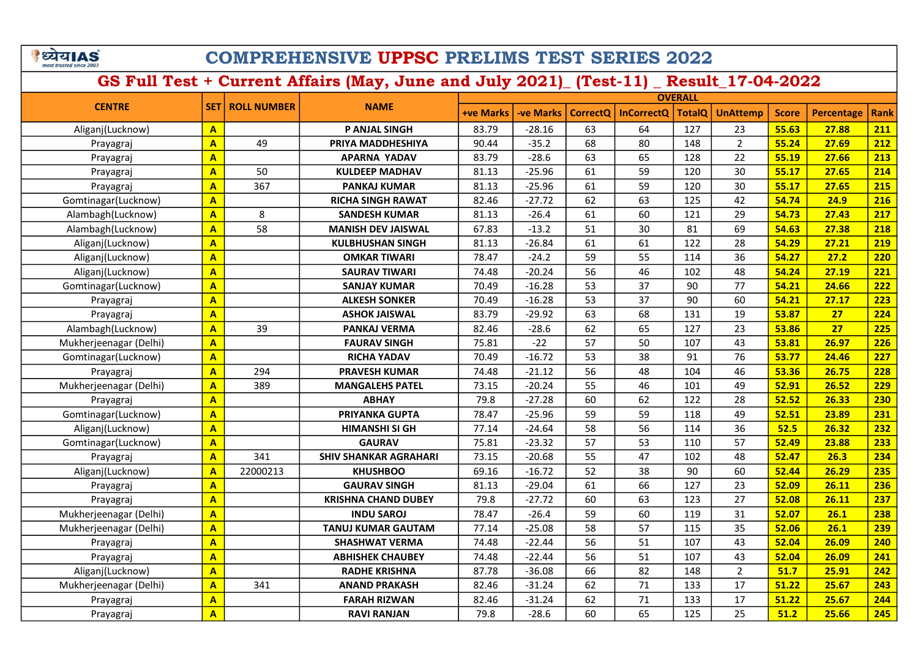|                         | खla |  |
|-------------------------|-----|--|
|                         |     |  |
| most trusted since 2003 |     |  |
|                         |     |  |

|                        |                         |                          |                              | <b>OVERALL</b>   |                  |                 |                   |               |                 |              |                   |      |
|------------------------|-------------------------|--------------------------|------------------------------|------------------|------------------|-----------------|-------------------|---------------|-----------------|--------------|-------------------|------|
| <b>CENTRE</b>          |                         | <b>SET   ROLL NUMBER</b> | <b>NAME</b>                  | <b>+ve Marks</b> | <b>-ve Marks</b> | <b>CorrectQ</b> | <b>InCorrectQ</b> | <b>TotalQ</b> | <b>UnAttemp</b> | <b>Score</b> | <b>Percentage</b> | Rank |
| Aliganj(Lucknow)       | $\mathbf{A}$            |                          | P ANJAL SINGH                | 83.79            | $-28.16$         | 63              | 64                | 127           | 23              | 55.63        | 27.88             | 211  |
| Prayagraj              | $\overline{A}$          | 49                       | PRIYA MADDHESHIYA            | 90.44            | $-35.2$          | 68              | 80                | 148           | $\overline{2}$  | 55.24        | 27.69             | 212  |
| Prayagraj              | $\mathbf{A}$            |                          | APARNA YADAV                 | 83.79            | $-28.6$          | 63              | 65                | 128           | 22              | 55.19        | 27.66             | 213  |
| Prayagraj              | $\mathbf{A}$            | 50                       | <b>KULDEEP MADHAV</b>        | 81.13            | $-25.96$         | 61              | 59                | 120           | 30              | 55.17        | 27.65             | 214  |
| Prayagraj              | $\mathbf{A}$            | 367                      | <b>PANKAJ KUMAR</b>          | 81.13            | $-25.96$         | 61              | 59                | 120           | 30              | 55.17        | 27.65             | 215  |
| Gomtinagar(Lucknow)    | $\mathbf{A}$            |                          | <b>RICHA SINGH RAWAT</b>     | 82.46            | $-27.72$         | 62              | 63                | 125           | 42              | 54.74        | 24.9              | 216  |
| Alambagh(Lucknow)      | $\mathbf{A}$            | 8                        | <b>SANDESH KUMAR</b>         | 81.13            | $-26.4$          | 61              | 60                | 121           | 29              | 54.73        | 27.43             | 217  |
| Alambagh(Lucknow)      | $\mathbf{A}$            | 58                       | <b>MANISH DEV JAISWAL</b>    | 67.83            | $-13.2$          | 51              | 30                | 81            | 69              | 54.63        | 27.38             | 218  |
| Aliganj(Lucknow)       | $\mathbf{A}$            |                          | <b>KULBHUSHAN SINGH</b>      | 81.13            | $-26.84$         | 61              | 61                | 122           | 28              | 54.29        | 27.21             | 219  |
| Aliganj(Lucknow)       | $\mathbf{A}$            |                          | <b>OMKAR TIWARI</b>          | 78.47            | $-24.2$          | 59              | 55                | 114           | 36              | 54.27        | 27.2              | 220  |
| Aliganj(Lucknow)       | $\overline{\mathbf{A}}$ |                          | <b>SAURAV TIWARI</b>         | 74.48            | $-20.24$         | 56              | 46                | 102           | 48              | 54.24        | 27.19             | 221  |
| Gomtinagar(Lucknow)    | $\overline{\mathbf{A}}$ |                          | <b>SANJAY KUMAR</b>          | 70.49            | $-16.28$         | 53              | 37                | 90            | 77              | 54.21        | 24.66             | 222  |
| Prayagraj              | $\mathbf{A}$            |                          | <b>ALKESH SONKER</b>         | 70.49            | $-16.28$         | 53              | 37                | 90            | 60              | 54.21        | 27.17             | 223  |
| Prayagraj              | $\overline{\mathbf{A}}$ |                          | ASHOK JAISWAL                | 83.79            | $-29.92$         | 63              | 68                | 131           | 19              | 53.87        | 27                | 224  |
| Alambagh(Lucknow)      | $\mathbf{A}$            | 39                       | PANKAJ VERMA                 | 82.46            | $-28.6$          | 62              | 65                | 127           | 23              | 53.86        | 27                | 225  |
| Mukherjeenagar (Delhi) | $\mathbf{A}$            |                          | <b>FAURAV SINGH</b>          | 75.81            | $-22$            | 57              | 50                | 107           | 43              | 53.81        | 26.97             | 226  |
| Gomtinagar(Lucknow)    | $\mathbf{A}$            |                          | <b>RICHA YADAV</b>           | 70.49            | $-16.72$         | 53              | 38                | 91            | 76              | 53.77        | 24.46             | 227  |
| Prayagraj              | $\overline{A}$          | 294                      | <b>PRAVESH KUMAR</b>         | 74.48            | $-21.12$         | 56              | 48                | 104           | 46              | 53.36        | 26.75             | 228  |
| Mukherjeenagar (Delhi) | $\mathbf{A}$            | 389                      | <b>MANGALEHS PATEL</b>       | 73.15            | $-20.24$         | 55              | 46                | 101           | 49              | 52.91        | 26.52             | 229  |
| Prayagraj              | $\mathbf{A}$            |                          | <b>ABHAY</b>                 | 79.8             | $-27.28$         | 60              | 62                | 122           | 28              | 52.52        | 26.33             | 230  |
| Gomtinagar(Lucknow)    | $\overline{\mathbf{A}}$ |                          | PRIYANKA GUPTA               | 78.47            | $-25.96$         | 59              | 59                | 118           | 49              | 52.51        | 23.89             | 231  |
| Aliganj(Lucknow)       | $\mathbf{A}$            |                          | <b>HIMANSHI SI GH</b>        | 77.14            | $-24.64$         | 58              | 56                | 114           | 36              | 52.5         | 26.32             | 232  |
| Gomtinagar(Lucknow)    | $\mathbf{A}$            |                          | <b>GAURAV</b>                | 75.81            | $-23.32$         | 57              | 53                | 110           | 57              | 52.49        | 23.88             | 233  |
| Prayagraj              | $\overline{\mathbf{A}}$ | 341                      | <b>SHIV SHANKAR AGRAHARI</b> | 73.15            | $-20.68$         | 55              | 47                | 102           | 48              | 52.47        | 26.3              | 234  |
| Aliganj(Lucknow)       | $\overline{A}$          | 22000213                 | <b>KHUSHBOO</b>              | 69.16            | $-16.72$         | 52              | 38                | 90            | 60              | 52.44        | 26.29             | 235  |
| Prayagraj              | $\overline{\mathbf{A}}$ |                          | <b>GAURAV SINGH</b>          | 81.13            | $-29.04$         | 61              | 66                | 127           | 23              | 52.09        | 26.11             | 236  |
| Prayagraj              | $\overline{A}$          |                          | <b>KRISHNA CHAND DUBEY</b>   | 79.8             | $-27.72$         | 60              | 63                | 123           | 27              | 52.08        | 26.11             | 237  |
| Mukherjeenagar (Delhi) | $\overline{\mathbf{A}}$ |                          | <b>INDU SAROJ</b>            | 78.47            | $-26.4$          | 59              | 60                | 119           | 31              | 52.07        | 26.1              | 238  |
| Mukherjeenagar (Delhi) | $\overline{\mathbf{A}}$ |                          | <b>TANUJ KUMAR GAUTAM</b>    | 77.14            | $-25.08$         | 58              | 57                | 115           | 35              | 52.06        | 26.1              | 239  |
| Prayagraj              | $\mathbf{A}$            |                          | <b>SHASHWAT VERMA</b>        | 74.48            | $-22.44$         | 56              | 51                | 107           | 43              | 52.04        | 26.09             | 240  |
| Prayagraj              | $\overline{A}$          |                          | <b>ABHISHEK CHAUBEY</b>      | 74.48            | $-22.44$         | 56              | 51                | 107           | 43              | 52.04        | 26.09             | 241  |
| Aliganj(Lucknow)       | $\mathbf{A}$            |                          | <b>RADHE KRISHNA</b>         | 87.78            | $-36.08$         | 66              | 82                | 148           | $\overline{2}$  | 51.7         | 25.91             | 242  |
| Mukherjeenagar (Delhi) | $\mathbf{A}$            | 341                      | <b>ANAND PRAKASH</b>         | 82.46            | $-31.24$         | 62              | 71                | 133           | 17              | 51.22        | 25.67             | 243  |
| Prayagraj              | $\mathbf{A}$            |                          | <b>FARAH RIZWAN</b>          | 82.46            | $-31.24$         | 62              | 71                | 133           | 17              | 51.22        | 25.67             | 244  |
| Prayagraj              | $\overline{\mathsf{A}}$ |                          | <b>RAVI RANJAN</b>           | 79.8             | $-28.6$          | 60              | 65                | 125           | 25              | 51.2         | 25.66             | 245  |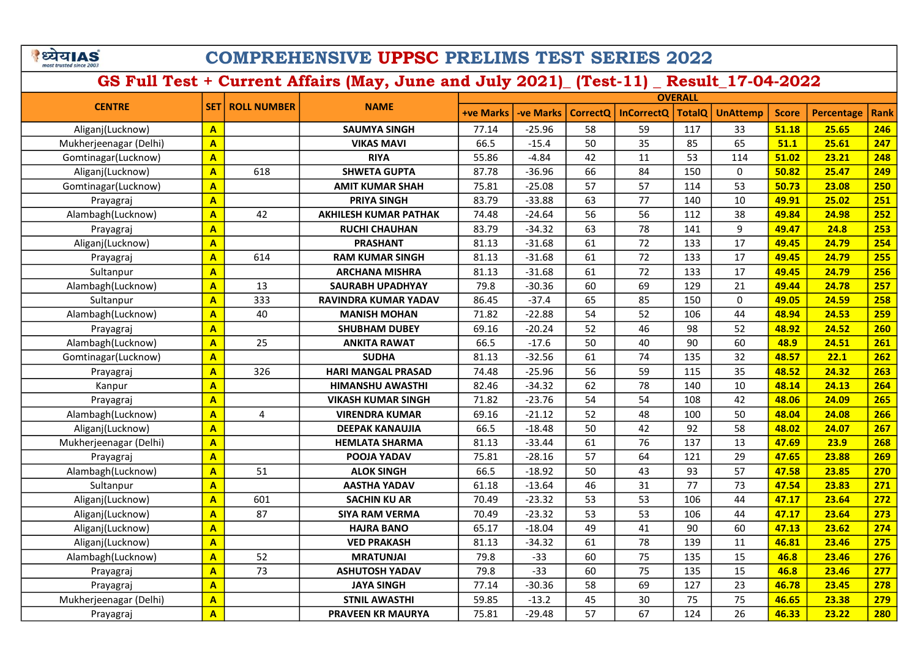े ध्येय AS

## COMPREHENSIVE UPPSC PRELIMS TEST SERIES 2022

|                        |                         |                    |                              |                  |                 |                 | <b>OVERALL</b>    |               |                 |              |                   |             |
|------------------------|-------------------------|--------------------|------------------------------|------------------|-----------------|-----------------|-------------------|---------------|-----------------|--------------|-------------------|-------------|
| <b>CENTRE</b>          | <b>SET</b>              | <b>ROLL NUMBER</b> | <b>NAME</b>                  | <b>+ve Marks</b> | <b>ve Marks</b> | <b>CorrectO</b> | <b>InCorrectQ</b> | <b>TotalQ</b> | <b>UnAttemp</b> | <b>Score</b> | <b>Percentage</b> | <b>Rank</b> |
| Aliganj(Lucknow)       | $\mathbf{A}$            |                    | <b>SAUMYA SINGH</b>          | 77.14            | $-25.96$        | 58              | 59                | 117           | 33              | 51.18        | 25.65             | 246         |
| Mukherjeenagar (Delhi) | $\overline{\mathbf{A}}$ |                    | <b>VIKAS MAVI</b>            | 66.5             | $-15.4$         | 50              | 35                | 85            | 65              | 51.1         | 25.61             | 247         |
| Gomtinagar(Lucknow)    | $\overline{\mathbf{A}}$ |                    | <b>RIYA</b>                  | 55.86            | $-4.84$         | 42              | 11                | 53            | 114             | 51.02        | 23.21             | 248         |
| Aliganj(Lucknow)       | $\overline{\mathbf{A}}$ | 618                | <b>SHWETA GUPTA</b>          | 87.78            | $-36.96$        | 66              | 84                | 150           | 0               | 50.82        | 25.47             | 249         |
| Gomtinagar(Lucknow)    | $\overline{\mathbf{A}}$ |                    | <b>AMIT KUMAR SHAH</b>       | 75.81            | $-25.08$        | 57              | 57                | 114           | 53              | 50.73        | 23.08             | 250         |
| Prayagraj              | $\mathbf{A}$            |                    | <b>PRIYA SINGH</b>           | 83.79            | $-33.88$        | 63              | 77                | 140           | 10              | 49.91        | 25.02             | 251         |
| Alambagh(Lucknow)      | $\overline{\mathbf{A}}$ | 42                 | <b>AKHILESH KUMAR PATHAK</b> | 74.48            | $-24.64$        | 56              | 56                | 112           | 38              | 49.84        | 24.98             | 252         |
| Prayagraj              | $\overline{\mathbf{A}}$ |                    | <b>RUCHI CHAUHAN</b>         | 83.79            | $-34.32$        | 63              | 78                | 141           | $\mathsf g$     | 49.47        | 24.8              | 253         |
| Aliganj(Lucknow)       | $\overline{\mathsf{A}}$ |                    | <b>PRASHANT</b>              | 81.13            | $-31.68$        | 61              | 72                | 133           | 17              | 49.45        | 24.79             | 254         |
| Prayagraj              | $\overline{\mathbf{A}}$ | 614                | <b>RAM KUMAR SINGH</b>       | 81.13            | $-31.68$        | 61              | 72                | 133           | 17              | 49.45        | 24.79             | 255         |
| Sultanpur              | $\overline{\mathbf{A}}$ |                    | <b>ARCHANA MISHRA</b>        | 81.13            | $-31.68$        | 61              | 72                | 133           | 17              | 49.45        | 24.79             | 256         |
| Alambagh(Lucknow)      | $\overline{\mathbf{A}}$ | 13                 | SAURABH UPADHYAY             | 79.8             | $-30.36$        | 60              | 69                | 129           | 21              | 49.44        | 24.78             | 257         |
| Sultanpur              | $\overline{\mathbf{A}}$ | 333                | <b>RAVINDRA KUMAR YADAV</b>  | 86.45            | $-37.4$         | 65              | 85                | 150           | $\mathbf{0}$    | 49.05        | 24.59             | 258         |
| Alambagh(Lucknow)      | $\overline{\mathbf{A}}$ | 40                 | <b>MANISH MOHAN</b>          | 71.82            | $-22.88$        | 54              | 52                | 106           | 44              | 48.94        | 24.53             | 259         |
| Prayagraj              | $\overline{\mathbf{A}}$ |                    | <b>SHUBHAM DUBEY</b>         | 69.16            | $-20.24$        | 52              | 46                | 98            | 52              | 48.92        | 24.52             | 260         |
| Alambagh(Lucknow)      | $\overline{A}$          | 25                 | <b>ANKITA RAWAT</b>          | 66.5             | $-17.6$         | 50              | 40                | 90            | 60              | 48.9         | 24.51             | 261         |
| Gomtinagar(Lucknow)    | $\overline{A}$          |                    | <b>SUDHA</b>                 | 81.13            | $-32.56$        | 61              | 74                | 135           | 32              | 48.57        | 22.1              | 262         |
| Prayagraj              | $\overline{\mathbf{A}}$ | 326                | <b>HARI MANGAL PRASAD</b>    | 74.48            | $-25.96$        | 56              | 59                | 115           | 35              | 48.52        | 24.32             | 263         |
| Kanpur                 | $\overline{A}$          |                    | <b>HIMANSHU AWASTHI</b>      | 82.46            | $-34.32$        | 62              | 78                | 140           | 10              | 48.14        | 24.13             | 264         |
| Prayagraj              | $\overline{\mathbf{A}}$ |                    | <b>VIKASH KUMAR SINGH</b>    | 71.82            | $-23.76$        | 54              | 54                | 108           | 42              | 48.06        | 24.09             | 265         |
| Alambagh(Lucknow)      | $\overline{\mathbf{A}}$ | 4                  | <b>VIRENDRA KUMAR</b>        | 69.16            | $-21.12$        | 52              | 48                | 100           | 50              | 48.04        | 24.08             | 266         |
| Aliganj(Lucknow)       | $\overline{\mathbf{A}}$ |                    | <b>DEEPAK KANAUJIA</b>       | 66.5             | $-18.48$        | 50              | 42                | 92            | 58              | 48.02        | 24.07             | 267         |
| Mukherjeenagar (Delhi) | $\overline{\mathbf{A}}$ |                    | <b>HEMLATA SHARMA</b>        | 81.13            | $-33.44$        | 61              | 76                | 137           | 13              | 47.69        | 23.9              | 268         |
| Prayagraj              | $\overline{\mathbf{A}}$ |                    | POOJA YADAV                  | 75.81            | $-28.16$        | 57              | 64                | 121           | 29              | 47.65        | 23.88             | 269         |
| Alambagh(Lucknow)      | $\overline{\mathbf{A}}$ | 51                 | <b>ALOK SINGH</b>            | 66.5             | $-18.92$        | 50              | 43                | 93            | 57              | 47.58        | 23.85             | 270         |
| Sultanpur              | $\overline{\mathbf{A}}$ |                    | <b>AASTHA YADAV</b>          | 61.18            | $-13.64$        | 46              | 31                | 77            | 73              | 47.54        | 23.83             | 271         |
| Aliganj(Lucknow)       | $\overline{\mathbf{A}}$ | 601                | <b>SACHIN KU AR</b>          | 70.49            | $-23.32$        | 53              | 53                | 106           | 44              | 47.17        | 23.64             | 272         |
| Aliganj(Lucknow)       | A                       | 87                 | <b>SIYA RAM VERMA</b>        | 70.49            | $-23.32$        | 53              | 53                | 106           | 44              | 47.17        | 23.64             | 273         |
| Aliganj(Lucknow)       | $\overline{A}$          |                    | <b>HAJRA BANO</b>            | 65.17            | $-18.04$        | 49              | 41                | 90            | 60              | 47.13        | 23.62             | 274         |
| Aliganj(Lucknow)       | $\overline{\mathbf{A}}$ |                    | <b>VED PRAKASH</b>           | 81.13            | $-34.32$        | 61              | 78                | 139           | 11              | 46.81        | 23.46             | 275         |
| Alambagh(Lucknow)      | $\overline{\mathbf{A}}$ | 52                 | <b>MRATUNJAI</b>             | 79.8             | $-33$           | 60              | 75                | 135           | 15              | 46.8         | 23.46             | 276         |
| Prayagraj              | A                       | 73                 | <b>ASHUTOSH YADAV</b>        | 79.8             | $-33$           | 60              | 75                | 135           | 15              | 46.8         | 23.46             | 277         |
| Prayagraj              | $\overline{A}$          |                    | <b>JAYA SINGH</b>            | 77.14            | $-30.36$        | 58              | 69                | 127           | 23              | 46.78        | 23.45             | 278         |
| Mukherjeenagar (Delhi) | $\overline{\mathbf{A}}$ |                    | <b>STNIL AWASTHI</b>         | 59.85            | $-13.2$         | 45              | 30                | 75            | 75              | 46.65        | 23.38             | 279         |
| Prayagraj              | $\overline{A}$          |                    | <b>PRAVEEN KR MAURYA</b>     | 75.81            | $-29.48$        | 57              | 67                | 124           | 26              | 46.33        | 23.22             | <b>280</b>  |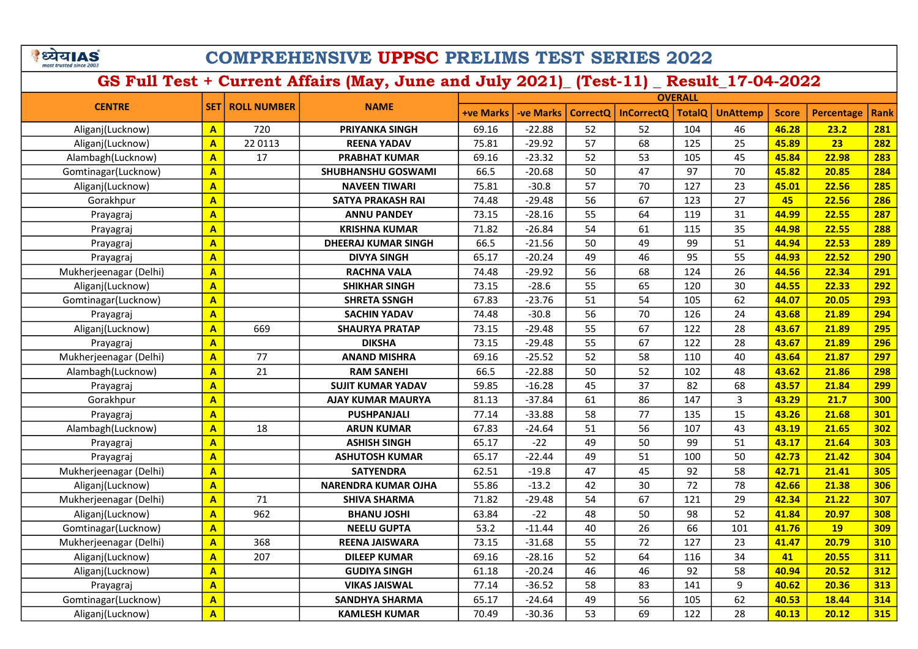| ध्यय।AS                 |  |  |
|-------------------------|--|--|
| most trusted since 2003 |  |  |

|                        |                         |                          |                            |                  |                  |                 |                   | <b>OVERALL</b> |                 |              |            |             |
|------------------------|-------------------------|--------------------------|----------------------------|------------------|------------------|-----------------|-------------------|----------------|-----------------|--------------|------------|-------------|
| <b>CENTRE</b>          |                         | <b>SET   ROLL NUMBER</b> | <b>NAME</b>                | <b>+ve Marks</b> | <b>-ve Marks</b> | <b>CorrectQ</b> | <b>InCorrectQ</b> | <b>TotalQ</b>  | <b>UnAttemp</b> | <b>Score</b> | Percentage | <b>Rank</b> |
| Aliganj(Lucknow)       | $\overline{A}$          | 720                      | <b>PRIYANKA SINGH</b>      | 69.16            | $-22.88$         | 52              | 52                | 104            | 46              | 46.28        | 23.2       | 281         |
| Aliganj(Lucknow)       | $\overline{A}$          | 22 0113                  | <b>REENA YADAV</b>         | 75.81            | $-29.92$         | 57              | 68                | 125            | 25              | 45.89        | 23         | 282         |
| Alambagh(Lucknow)      | $\overline{\mathbf{A}}$ | 17                       | <b>PRABHAT KUMAR</b>       | 69.16            | $-23.32$         | 52              | 53                | 105            | 45              | 45.84        | 22.98      | 283         |
| Gomtinagar(Lucknow)    | $\overline{\mathbf{A}}$ |                          | SHUBHANSHU GOSWAMI         | 66.5             | $-20.68$         | 50              | 47                | 97             | 70              | 45.82        | 20.85      | 284         |
| Aliganj(Lucknow)       | $\overline{A}$          |                          | <b>NAVEEN TIWARI</b>       | 75.81            | $-30.8$          | 57              | 70                | 127            | 23              | 45.01        | 22.56      | 285         |
| Gorakhpur              | $\overline{\mathsf{A}}$ |                          | <b>SATYA PRAKASH RAI</b>   | 74.48            | $-29.48$         | 56              | 67                | 123            | 27              | 45           | 22.56      | 286         |
| Prayagraj              | $\overline{\mathbf{A}}$ |                          | <b>ANNU PANDEY</b>         | 73.15            | $-28.16$         | 55              | 64                | 119            | 31              | 44.99        | 22.55      | 287         |
| Prayagraj              | $\overline{\mathbf{A}}$ |                          | <b>KRISHNA KUMAR</b>       | 71.82            | $-26.84$         | 54              | 61                | 115            | 35              | 44.98        | 22.55      | 288         |
| Prayagraj              | $\overline{A}$          |                          | <b>DHEERAJ KUMAR SINGH</b> | 66.5             | $-21.56$         | 50              | 49                | 99             | 51              | 44.94        | 22.53      | 289         |
| Prayagraj              | $\overline{\mathbf{A}}$ |                          | <b>DIVYA SINGH</b>         | 65.17            | $-20.24$         | 49              | 46                | 95             | 55              | 44.93        | 22.52      | 290         |
| Mukherjeenagar (Delhi) | $\overline{\mathbf{A}}$ |                          | <b>RACHNA VALA</b>         | 74.48            | $-29.92$         | 56              | 68                | 124            | 26              | 44.56        | 22.34      | 291         |
| Aliganj(Lucknow)       | $\overline{A}$          |                          | <b>SHIKHAR SINGH</b>       | 73.15            | $-28.6$          | 55              | 65                | 120            | 30              | 44.55        | 22.33      | <b>292</b>  |
| Gomtinagar(Lucknow)    | $\overline{\mathbf{A}}$ |                          | <b>SHRETA SSNGH</b>        | 67.83            | $-23.76$         | 51              | 54                | 105            | 62              | 44.07        | 20.05      | 293         |
| Prayagraj              | $\overline{\mathsf{A}}$ |                          | <b>SACHIN YADAV</b>        | 74.48            | $-30.8$          | 56              | 70                | 126            | 24              | 43.68        | 21.89      | 294         |
| Aliganj(Lucknow)       | $\overline{\mathsf{A}}$ | 669                      | <b>SHAURYA PRATAP</b>      | 73.15            | $-29.48$         | 55              | 67                | 122            | 28              | 43.67        | 21.89      | 295         |
| Prayagraj              | $\mathbf{A}$            |                          | <b>DIKSHA</b>              | 73.15            | $-29.48$         | 55              | 67                | 122            | 28              | 43.67        | 21.89      | 296         |
| Mukherjeenagar (Delhi) | $\overline{\mathbf{A}}$ | 77                       | <b>ANAND MISHRA</b>        | 69.16            | $-25.52$         | 52              | 58                | 110            | 40              | 43.64        | 21.87      | 297         |
| Alambagh(Lucknow)      | $\overline{\mathbf{A}}$ | 21                       | <b>RAM SANEHI</b>          | 66.5             | $-22.88$         | 50              | 52                | 102            | 48              | 43.62        | 21.86      | 298         |
| Prayagraj              | $\overline{\mathbf{A}}$ |                          | <b>SUJIT KUMAR YADAV</b>   | 59.85            | $-16.28$         | 45              | 37                | 82             | 68              | 43.57        | 21.84      | 299         |
| Gorakhpur              | $\overline{A}$          |                          | <b>AJAY KUMAR MAURYA</b>   | 81.13            | $-37.84$         | 61              | 86                | 147            | 3               | 43.29        | 21.7       | 300         |
| Prayagraj              | $\overline{\mathbf{A}}$ |                          | <b>PUSHPANJALI</b>         | 77.14            | $-33.88$         | 58              | 77                | 135            | 15              | 43.26        | 21.68      | 301         |
| Alambagh(Lucknow)      | $\overline{\mathbf{A}}$ | 18                       | <b>ARUN KUMAR</b>          | 67.83            | $-24.64$         | 51              | 56                | 107            | 43              | 43.19        | 21.65      | 302         |
| Prayagraj              | $\overline{\mathbf{A}}$ |                          | <b>ASHISH SINGH</b>        | 65.17            | $-22$            | 49              | 50                | 99             | 51              | 43.17        | 21.64      | 303         |
| Prayagraj              | $\overline{\mathbf{A}}$ |                          | <b>ASHUTOSH KUMAR</b>      | 65.17            | $-22.44$         | 49              | 51                | 100            | 50              | 42.73        | 21.42      | 304         |
| Mukherjeenagar (Delhi) | $\overline{\mathbf{A}}$ |                          | <b>SATYENDRA</b>           | 62.51            | $-19.8$          | 47              | 45                | 92             | 58              | 42.71        | 21.41      | 305         |
| Aliganj(Lucknow)       | $\overline{\mathbf{A}}$ |                          | <b>NARENDRA KUMAR OJHA</b> | 55.86            | $-13.2$          | 42              | 30                | 72             | 78              | 42.66        | 21.38      | 306         |
| Mukherjeenagar (Delhi) | $\overline{\mathbf{A}}$ | 71                       | <b>SHIVA SHARMA</b>        | 71.82            | $-29.48$         | 54              | 67                | 121            | 29              | 42.34        | 21.22      | 307         |
| Aliganj(Lucknow)       | $\overline{A}$          | 962                      | <b>BHANU JOSHI</b>         | 63.84            | $-22$            | 48              | 50                | 98             | 52              | 41.84        | 20.97      | 308         |
| Gomtinagar(Lucknow)    | $\overline{\mathbf{A}}$ |                          | <b>NEELU GUPTA</b>         | 53.2             | $-11.44$         | 40              | 26                | 66             | 101             | 41.76        | <b>19</b>  | 309         |
| Mukherjeenagar (Delhi) | $\overline{A}$          | 368                      | <b>REENA JAISWARA</b>      | 73.15            | $-31.68$         | 55              | 72                | 127            | 23              | 41.47        | 20.79      | 310         |
| Aliganj(Lucknow)       | A                       | 207                      | <b>DILEEP KUMAR</b>        | 69.16            | $-28.16$         | 52              | 64                | 116            | 34              | 41           | 20.55      | 311         |
| Aliganj(Lucknow)       | $\overline{A}$          |                          | <b>GUDIYA SINGH</b>        | 61.18            | $-20.24$         | 46              | 46                | 92             | 58              | 40.94        | 20.52      | 312         |
| Prayagraj              | $\overline{A}$          |                          | <b>VIKAS JAISWAL</b>       | 77.14            | $-36.52$         | 58              | 83                | 141            | 9               | 40.62        | 20.36      | 313         |
| Gomtinagar(Lucknow)    | $\overline{A}$          |                          | <b>SANDHYA SHARMA</b>      | 65.17            | $-24.64$         | 49              | 56                | 105            | 62              | 40.53        | 18.44      | 314         |
| Aliganj(Lucknow)       | $\mathbf{A}$            |                          | <b>KAMLESH KUMAR</b>       | 70.49            | $-30.36$         | 53              | 69                | 122            | 28              | 40.13        | 20.12      | 315         |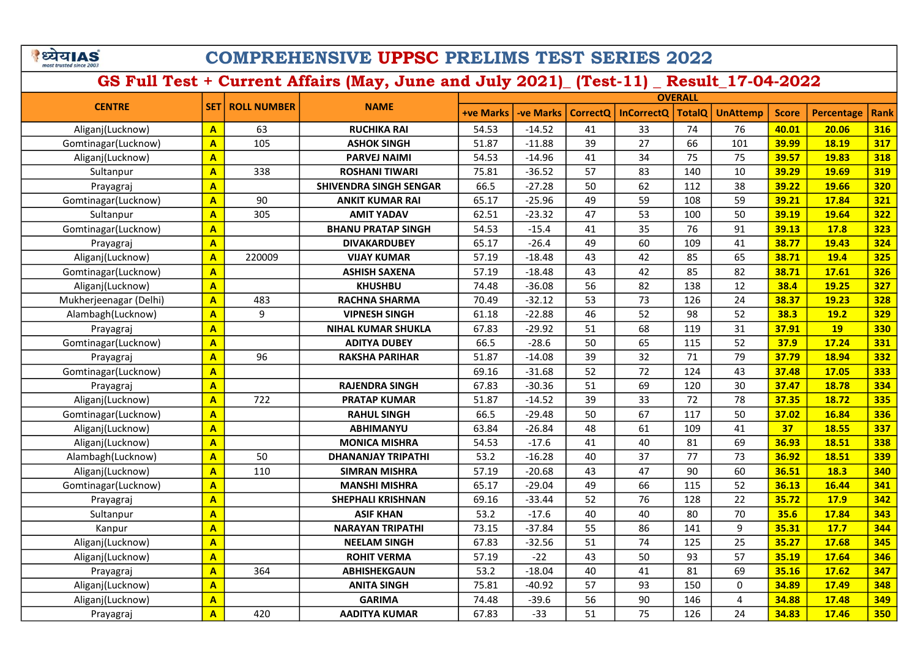|                         | खla |  |
|-------------------------|-----|--|
| most trusted since 2003 |     |  |

|                        |                         |                    |                           |                  |                  |                 |                   | <b>OVERALL</b> |                 |              |                   |      |
|------------------------|-------------------------|--------------------|---------------------------|------------------|------------------|-----------------|-------------------|----------------|-----------------|--------------|-------------------|------|
| <b>CENTRE</b>          | <b>SET</b>              | <b>ROLL NUMBER</b> | <b>NAME</b>               | <b>+ve Marks</b> | <b>-ve Marks</b> | <b>CorrectQ</b> | <b>InCorrectQ</b> | <b>TotalQ</b>  | <b>UnAttemp</b> | <b>Score</b> | <b>Percentage</b> | Rank |
| Aliganj(Lucknow)       | $\overline{\mathbf{A}}$ | 63                 | <b>RUCHIKA RAI</b>        | 54.53            | $-14.52$         | 41              | 33                | 74             | 76              | 40.01        | 20.06             | 316  |
| Gomtinagar(Lucknow)    | $\overline{A}$          | 105                | <b>ASHOK SINGH</b>        | 51.87            | $-11.88$         | 39              | 27                | 66             | 101             | 39.99        | 18.19             | 317  |
| Aliganj(Lucknow)       | $\overline{\mathbf{A}}$ |                    | <b>PARVEJ NAIMI</b>       | 54.53            | $-14.96$         | 41              | 34                | 75             | 75              | 39.57        | 19.83             | 318  |
| Sultanpur              | A                       | 338                | <b>ROSHANI TIWARI</b>     | 75.81            | $-36.52$         | 57              | 83                | 140            | 10              | 39.29        | 19.69             | 319  |
| Prayagraj              | $\overline{\mathsf{A}}$ |                    | SHIVENDRA SINGH SENGAR    | 66.5             | $-27.28$         | 50              | 62                | 112            | 38              | 39.22        | 19.66             | 320  |
| Gomtinagar(Lucknow)    | $\overline{A}$          | 90                 | <b>ANKIT KUMAR RAI</b>    | 65.17            | $-25.96$         | 49              | 59                | 108            | 59              | 39.21        | 17.84             | 321  |
| Sultanpur              | A                       | 305                | <b>AMIT YADAV</b>         | 62.51            | $-23.32$         | 47              | 53                | 100            | 50              | 39.19        | 19.64             | 322  |
| Gomtinagar(Lucknow)    | A                       |                    | <b>BHANU PRATAP SINGH</b> | 54.53            | $-15.4$          | 41              | 35                | 76             | 91              | 39.13        | 17.8              | 323  |
| Prayagraj              | A                       |                    | <b>DIVAKARDUBEY</b>       | 65.17            | $-26.4$          | 49              | 60                | 109            | 41              | 38.77        | 19.43             | 324  |
| Aliganj(Lucknow)       | A                       | 220009             | <b>VIJAY KUMAR</b>        | 57.19            | $-18.48$         | 43              | 42                | 85             | 65              | 38.71        | 19.4              | 325  |
| Gomtinagar(Lucknow)    | A                       |                    | <b>ASHISH SAXENA</b>      | 57.19            | $-18.48$         | 43              | 42                | 85             | 82              | 38.71        | 17.61             | 326  |
| Aliganj(Lucknow)       | $\overline{\mathsf{A}}$ |                    | <b>KHUSHBU</b>            | 74.48            | $-36.08$         | 56              | 82                | 138            | 12              | 38.4         | 19.25             | 327  |
| Mukherjeenagar (Delhi) | A                       | 483                | <b>RACHNA SHARMA</b>      | 70.49            | $-32.12$         | 53              | 73                | 126            | 24              | 38.37        | 19.23             | 328  |
| Alambagh(Lucknow)      | $\overline{\mathsf{A}}$ | 9                  | <b>VIPNESH SINGH</b>      | 61.18            | $-22.88$         | 46              | 52                | 98             | 52              | 38.3         | 19.2              | 329  |
| Prayagraj              | $\overline{\mathsf{A}}$ |                    | <b>NIHAL KUMAR SHUKLA</b> | 67.83            | $-29.92$         | 51              | 68                | 119            | 31              | 37.91        | <b>19</b>         | 330  |
| Gomtinagar(Lucknow)    | $\overline{\mathsf{A}}$ |                    | <b>ADITYA DUBEY</b>       | 66.5             | $-28.6$          | 50              | 65                | 115            | 52              | 37.9         | 17.24             | 331  |
| Prayagraj              | $\overline{\mathsf{A}}$ | 96                 | <b>RAKSHA PARIHAR</b>     | 51.87            | $-14.08$         | 39              | 32                | 71             | 79              | 37.79        | 18.94             | 332  |
| Gomtinagar(Lucknow)    | $\overline{\mathbf{A}}$ |                    |                           | 69.16            | $-31.68$         | 52              | 72                | 124            | 43              | 37.48        | 17.05             | 333  |
| Prayagraj              | $\overline{\mathsf{A}}$ |                    | <b>RAJENDRA SINGH</b>     | 67.83            | $-30.36$         | 51              | 69                | 120            | 30              | 37.47        | 18.78             | 334  |
| Aliganj(Lucknow)       | A                       | 722                | <b>PRATAP KUMAR</b>       | 51.87            | $-14.52$         | 39              | 33                | 72             | 78              | 37.35        | 18.72             | 335  |
| Gomtinagar(Lucknow)    | A                       |                    | <b>RAHUL SINGH</b>        | 66.5             | $-29.48$         | 50              | 67                | 117            | 50              | 37.02        | 16.84             | 336  |
| Aliganj(Lucknow)       | A                       |                    | <b>ABHIMANYU</b>          | 63.84            | $-26.84$         | 48              | 61                | 109            | 41              | 37           | 18.55             | 337  |
| Aliganj(Lucknow)       | $\overline{\mathbf{A}}$ |                    | <b>MONICA MISHRA</b>      | 54.53            | $-17.6$          | 41              | 40                | 81             | 69              | 36.93        | 18.51             | 338  |
| Alambagh(Lucknow)      | A                       | 50                 | <b>DHANANJAY TRIPATHI</b> | 53.2             | $-16.28$         | 40              | 37                | 77             | 73              | 36.92        | 18.51             | 339  |
| Aliganj(Lucknow)       | A                       | 110                | <b>SIMRAN MISHRA</b>      | 57.19            | $-20.68$         | 43              | 47                | 90             | 60              | 36.51        | 18.3              | 340  |
| Gomtinagar(Lucknow)    | A                       |                    | <b>MANSHI MISHRA</b>      | 65.17            | $-29.04$         | 49              | 66                | 115            | 52              | 36.13        | 16.44             | 341  |
| Prayagraj              | A                       |                    | <b>SHEPHALI KRISHNAN</b>  | 69.16            | $-33.44$         | 52              | 76                | 128            | 22              | 35.72        | 17.9              | 342  |
| Sultanpur              | $\overline{A}$          |                    | <b>ASIF KHAN</b>          | 53.2             | $-17.6$          | 40              | 40                | 80             | 70              | 35.6         | 17.84             | 343  |
| Kanpur                 | A                       |                    | <b>NARAYAN TRIPATHI</b>   | 73.15            | $-37.84$         | 55              | 86                | 141            | 9               | 35.31        | 17.7              | 344  |
| Aliganj(Lucknow)       | $\overline{A}$          |                    | <b>NEELAM SINGH</b>       | 67.83            | $-32.56$         | 51              | 74                | 125            | 25              | 35.27        | 17.68             | 345  |
| Aliganj(Lucknow)       | $\overline{\mathbf{A}}$ |                    | <b>ROHIT VERMA</b>        | 57.19            | $-22$            | 43              | 50                | 93             | 57              | 35.19        | 17.64             | 346  |
| Prayagraj              | $\overline{\mathbf{A}}$ | 364                | <b>ABHISHEKGAUN</b>       | 53.2             | $-18.04$         | 40              | 41                | 81             | 69              | 35.16        | 17.62             | 347  |
| Aliganj(Lucknow)       | A                       |                    | <b>ANITA SINGH</b>        | 75.81            | $-40.92$         | 57              | 93                | 150            | $\Omega$        | 34.89        | 17.49             | 348  |
| Aliganj(Lucknow)       | $\mathbf{A}$            |                    | <b>GARIMA</b>             | 74.48            | $-39.6$          | 56              | 90                | 146            | 4               | 34.88        | 17.48             | 349  |
| Prayagraj              | $\overline{\mathbf{A}}$ | 420                | <b>AADITYA KUMAR</b>      | 67.83            | $-33$            | 51              | 75                | 126            | 24              | 34.83        | 17.46             | 350  |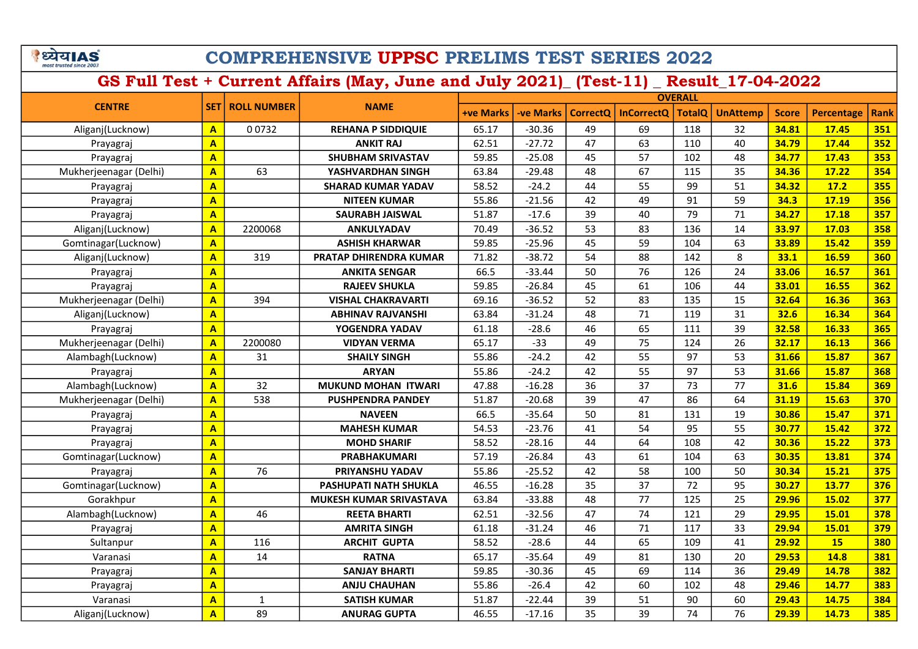| ध्यय।AS                 |  |
|-------------------------|--|
| most trusted since 2003 |  |

| <b>CENTRE</b>          |                         |             | <b>ROLL NUMBER</b><br><b>NAME</b> | <b>OVERALL</b>   |                  |                 |                   |               |                 |              |                   |             |
|------------------------|-------------------------|-------------|-----------------------------------|------------------|------------------|-----------------|-------------------|---------------|-----------------|--------------|-------------------|-------------|
|                        | <b>SET1</b>             |             |                                   | <b>+ve Marks</b> | <b>-ve Marks</b> | <b>CorrectQ</b> | <b>InCorrectQ</b> | <b>TotalQ</b> | <b>UnAttemp</b> | <b>Score</b> | <b>Percentage</b> | <b>Rank</b> |
| Aliganj(Lucknow)       | $\mathbf{A}$            | 00732       | <b>REHANA P SIDDIQUIE</b>         | 65.17            | $-30.36$         | 49              | 69                | 118           | 32              | 34.81        | 17.45             | 351         |
| Prayagraj              | $\mathbf{A}$            |             | <b>ANKIT RAJ</b>                  | 62.51            | $-27.72$         | 47              | 63                | 110           | 40              | 34.79        | 17.44             | 352         |
| Prayagraj              | $\overline{\mathbf{A}}$ |             | <b>SHUBHAM SRIVASTAV</b>          | 59.85            | $-25.08$         | 45              | 57                | 102           | 48              | 34.77        | 17.43             | 353         |
| Mukherjeenagar (Delhi) | $\overline{\mathbf{A}}$ | 63          | YASHVARDHAN SINGH                 | 63.84            | $-29.48$         | 48              | 67                | 115           | 35              | 34.36        | 17.22             | 354         |
| Prayagraj              | $\mathbf{A}$            |             | <b>SHARAD KUMAR YADAV</b>         | 58.52            | $-24.2$          | 44              | 55                | 99            | 51              | 34.32        | 17.2              | 355         |
| Prayagraj              | $\overline{A}$          |             | <b>NITEEN KUMAR</b>               | 55.86            | $-21.56$         | 42              | 49                | 91            | 59              | 34.3         | 17.19             | 356         |
| Prayagraj              | $\overline{\mathbf{A}}$ |             | <b>SAURABH JAISWAL</b>            | 51.87            | $-17.6$          | 39              | 40                | 79            | 71              | 34.27        | 17.18             | 357         |
| Aliganj(Lucknow)       | $\mathbf{A}$            | 2200068     | ANKULYADAV                        | 70.49            | $-36.52$         | 53              | 83                | 136           | 14              | 33.97        | 17.03             | 358         |
| Gomtinagar(Lucknow)    | $\mathbf{A}$            |             | <b>ASHISH KHARWAR</b>             | 59.85            | $-25.96$         | 45              | 59                | 104           | 63              | 33.89        | 15.42             | 359         |
| Aliganj(Lucknow)       | $\overline{\mathbf{A}}$ | 319         | PRATAP DHIRENDRA KUMAR            | 71.82            | $-38.72$         | 54              | 88                | 142           | 8               | 33.1         | 16.59             | 360         |
| Prayagraj              | $\overline{\mathbf{A}}$ |             | <b>ANKITA SENGAR</b>              | 66.5             | $-33.44$         | 50              | 76                | 126           | 24              | 33.06        | 16.57             | 361         |
| Prayagraj              | $\mathbf{A}$            |             | <b>RAJEEV SHUKLA</b>              | 59.85            | $-26.84$         | 45              | 61                | 106           | 44              | 33.01        | 16.55             | 362         |
| Mukherjeenagar (Delhi) | $\overline{\mathbf{A}}$ | 394         | <b>VISHAL CHAKRAVARTI</b>         | 69.16            | $-36.52$         | 52              | 83                | 135           | 15              | 32.64        | 16.36             | 363         |
| Aliganj(Lucknow)       | $\mathbf{A}$            |             | ABHINAV RAJVANSHI                 | 63.84            | $-31.24$         | 48              | 71                | 119           | 31              | 32.6         | 16.34             | 364         |
| Prayagraj              | $\mathbf{A}$            |             | YOGENDRA YADAV                    | 61.18            | $-28.6$          | 46              | 65                | 111           | 39              | 32.58        | 16.33             | 365         |
| Mukherjeenagar (Delhi) | $\overline{\mathbf{A}}$ | 2200080     | <b>VIDYAN VERMA</b>               | 65.17            | $-33$            | 49              | 75                | 124           | 26              | 32.17        | 16.13             | 366         |
| Alambagh(Lucknow)      | $\overline{\mathbf{A}}$ | 31          | <b>SHAILY SINGH</b>               | 55.86            | $-24.2$          | 42              | 55                | 97            | 53              | 31.66        | 15.87             | 367         |
| Prayagraj              | $\overline{\mathbf{A}}$ |             | <b>ARYAN</b>                      | 55.86            | $-24.2$          | 42              | 55                | 97            | 53              | 31.66        | 15.87             | 368         |
| Alambagh(Lucknow)      | $\overline{\mathbf{A}}$ | 32          | <b>MUKUND MOHAN ITWARI</b>        | 47.88            | $-16.28$         | 36              | 37                | 73            | 77              | 31.6         | 15.84             | 369         |
| Mukherjeenagar (Delhi) | $\mathbf{A}$            | 538         | <b>PUSHPENDRA PANDEY</b>          | 51.87            | $-20.68$         | 39              | 47                | 86            | 64              | 31.19        | 15.63             | 370         |
| Prayagraj              | $\overline{\mathbf{A}}$ |             | <b>NAVEEN</b>                     | 66.5             | $-35.64$         | 50              | 81                | 131           | 19              | 30.86        | 15.47             | 371         |
| Prayagraj              | $\overline{\mathbf{A}}$ |             | <b>MAHESH KUMAR</b>               | 54.53            | $-23.76$         | 41              | 54                | 95            | 55              | 30.77        | 15.42             | 372         |
| Prayagraj              | $\overline{\mathbf{A}}$ |             | <b>MOHD SHARIF</b>                | 58.52            | $-28.16$         | 44              | 64                | 108           | 42              | 30.36        | 15.22             | 373         |
| Gomtinagar(Lucknow)    | $\overline{\mathbf{A}}$ |             | <b>PRABHAKUMARI</b>               | 57.19            | $-26.84$         | 43              | 61                | 104           | 63              | 30.35        | 13.81             | 374         |
| Prayagraj              | $\overline{\mathbf{A}}$ | 76          | PRIYANSHU YADAV                   | 55.86            | $-25.52$         | 42              | 58                | 100           | 50              | 30.34        | 15.21             | 375         |
| Gomtinagar(Lucknow)    | $\overline{\mathbf{A}}$ |             | <b>PASHUPATI NATH SHUKLA</b>      | 46.55            | $-16.28$         | 35              | 37                | 72            | 95              | 30.27        | 13.77             | 376         |
| Gorakhpur              | $\overline{\mathbf{A}}$ |             | MUKESH KUMAR SRIVASTAVA           | 63.84            | $-33.88$         | 48              | 77                | 125           | 25              | 29.96        | 15.02             | 377         |
| Alambagh(Lucknow)      | $\overline{\mathbf{A}}$ | 46          | <b>REETA BHARTI</b>               | 62.51            | $-32.56$         | 47              | 74                | 121           | 29              | 29.95        | 15.01             | 378         |
| Prayagraj              | $\overline{\mathbf{A}}$ |             | <b>AMRITA SINGH</b>               | 61.18            | $-31.24$         | 46              | 71                | 117           | 33              | 29.94        | 15.01             | 379         |
| Sultanpur              | $\overline{\mathbf{A}}$ | 116         | <b>ARCHIT GUPTA</b>               | 58.52            | $-28.6$          | 44              | 65                | 109           | 41              | 29.92        | 15                | 380         |
| Varanasi               | $\overline{\mathbf{A}}$ | 14          | <b>RATNA</b>                      | 65.17            | $-35.64$         | 49              | 81                | 130           | 20              | 29.53        | 14.8              | 381         |
| Prayagraj              | $\mathbf{A}$            |             | <b>SANJAY BHARTI</b>              | 59.85            | $-30.36$         | 45              | 69                | 114           | 36              | 29.49        | 14.78             | 382         |
| Prayagraj              | $\overline{\mathbf{A}}$ |             | <b>ANJU CHAUHAN</b>               | 55.86            | $-26.4$          | 42              | 60                | 102           | 48              | 29.46        | 14.77             | 383         |
| Varanasi               | $\mathbf{A}$            | $\mathbf 1$ | <b>SATISH KUMAR</b>               | 51.87            | $-22.44$         | 39              | 51                | 90            | 60              | 29.43        | 14.75             | 384         |
| Aliganj(Lucknow)       | $\overline{A}$          | 89          | <b>ANURAG GUPTA</b>               | 46.55            | $-17.16$         | 35              | 39                | 74            | 76              | 29.39        | 14.73             | 385         |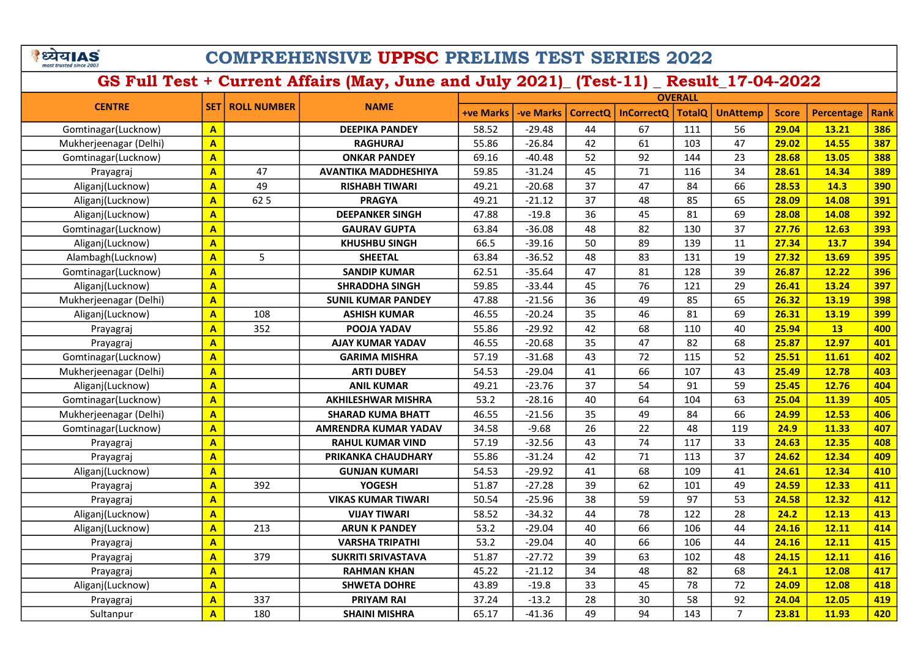|                         | य।∆ |
|-------------------------|-----|
| most trusted since 2003 |     |

|                        |                         |                    | <b>NAME</b>                 | <b>OVERALL</b>   |                  |                 |                   |               |                 |              |                   |            |
|------------------------|-------------------------|--------------------|-----------------------------|------------------|------------------|-----------------|-------------------|---------------|-----------------|--------------|-------------------|------------|
| <b>CENTRE</b>          | <b>SET1</b>             | <b>ROLL NUMBER</b> |                             | <b>+ve Marks</b> | <b>-ve Marks</b> | <b>CorrectQ</b> | <b>InCorrectQ</b> | <b>TotalQ</b> | <b>UnAttemp</b> | <b>Score</b> | <b>Percentage</b> | Rank       |
| Gomtinagar(Lucknow)    | $\mathbf{A}$            |                    | <b>DEEPIKA PANDEY</b>       | 58.52            | $-29.48$         | 44              | 67                | 111           | 56              | 29.04        | 13.21             | 386        |
| Mukherjeenagar (Delhi) | $\mathbf{A}$            |                    | <b>RAGHURAJ</b>             | 55.86            | $-26.84$         | 42              | 61                | 103           | 47              | 29.02        | 14.55             | 387        |
| Gomtinagar(Lucknow)    | $\overline{\mathbf{A}}$ |                    | <b>ONKAR PANDEY</b>         | 69.16            | -40.48           | 52              | 92                | 144           | 23              | 28.68        | 13.05             | 388        |
| Prayagraj              | $\overline{A}$          | 47                 | <b>AVANTIKA MADDHESHIYA</b> | 59.85            | $-31.24$         | 45              | 71                | 116           | 34              | 28.61        | 14.34             | 389        |
| Aliganj(Lucknow)       | $\overline{\mathbf{A}}$ | 49                 | <b>RISHABH TIWARI</b>       | 49.21            | $-20.68$         | 37              | 47                | 84            | 66              | 28.53        | 14.3              | 390        |
| Aliganj(Lucknow)       | $\mathbf{A}$            | 62 5               | <b>PRAGYA</b>               | 49.21            | $-21.12$         | 37              | 48                | 85            | 65              | 28.09        | 14.08             | 391        |
| Aliganj(Lucknow)       | $\mathbf{A}$            |                    | <b>DEEPANKER SINGH</b>      | 47.88            | $-19.8$          | 36              | 45                | 81            | 69              | 28.08        | 14.08             | <b>392</b> |
| Gomtinagar(Lucknow)    | $\overline{\mathsf{A}}$ |                    | <b>GAURAV GUPTA</b>         | 63.84            | $-36.08$         | 48              | 82                | 130           | 37              | 27.76        | 12.63             | 393        |
| Aliganj(Lucknow)       | $\mathbf{A}$            |                    | <b>KHUSHBU SINGH</b>        | 66.5             | $-39.16$         | 50              | 89                | 139           | 11              | 27.34        | 13.7              | 394        |
| Alambagh(Lucknow)      | $\overline{\mathbf{A}}$ | 5                  | <b>SHEETAL</b>              | 63.84            | $-36.52$         | 48              | 83                | 131           | 19              | 27.32        | 13.69             | 395        |
| Gomtinagar(Lucknow)    | $\overline{\mathbf{A}}$ |                    | <b>SANDIP KUMAR</b>         | 62.51            | $-35.64$         | 47              | 81                | 128           | 39              | 26.87        | 12.22             | 396        |
| Aliganj(Lucknow)       | $\overline{\mathbf{A}}$ |                    | <b>SHRADDHA SINGH</b>       | 59.85            | $-33.44$         | 45              | 76                | 121           | 29              | 26.41        | 13.24             | 397        |
| Mukherjeenagar (Delhi) | $\overline{\mathbf{A}}$ |                    | <b>SUNIL KUMAR PANDEY</b>   | 47.88            | $-21.56$         | 36              | 49                | 85            | 65              | 26.32        | 13.19             | 398        |
| Aliganj(Lucknow)       | $\mathbf{A}$            | 108                | <b>ASHISH KUMAR</b>         | 46.55            | $-20.24$         | 35              | 46                | 81            | 69              | 26.31        | 13.19             | 399        |
| Prayagraj              | $\overline{A}$          | 352                | POOJA YADAV                 | 55.86            | $-29.92$         | 42              | 68                | 110           | 40              | 25.94        | 13                | 400        |
| Prayagraj              | $\overline{\mathbf{A}}$ |                    | AJAY KUMAR YADAV            | 46.55            | $-20.68$         | 35              | 47                | 82            | 68              | 25.87        | 12.97             | 401        |
| Gomtinagar(Lucknow)    | $\overline{\mathbf{A}}$ |                    | <b>GARIMA MISHRA</b>        | 57.19            | $-31.68$         | 43              | 72                | 115           | 52              | 25.51        | 11.61             | 402        |
| Mukherjeenagar (Delhi) | $\mathbf{A}$            |                    | <b>ARTI DUBEY</b>           | 54.53            | $-29.04$         | 41              | 66                | 107           | 43              | 25.49        | 12.78             | 403        |
| Aliganj(Lucknow)       | $\overline{A}$          |                    | <b>ANIL KUMAR</b>           | 49.21            | $-23.76$         | 37              | 54                | 91            | 59              | 25.45        | 12.76             | 404        |
| Gomtinagar(Lucknow)    | $\overline{\mathbf{A}}$ |                    | <b>AKHILESHWAR MISHRA</b>   | 53.2             | $-28.16$         | 40              | 64                | 104           | 63              | 25.04        | 11.39             | 405        |
| Mukherjeenagar (Delhi) | $\overline{\mathbf{A}}$ |                    | <b>SHARAD KUMA BHATT</b>    | 46.55            | $-21.56$         | 35              | 49                | 84            | 66              | 24.99        | 12.53             | 406        |
| Gomtinagar(Lucknow)    | $\overline{\mathbf{A}}$ |                    | <b>AMRENDRA KUMAR YADAV</b> | 34.58            | $-9.68$          | 26              | 22                | 48            | 119             | 24.9         | 11.33             | 407        |
| Prayagraj              | $\overline{A}$          |                    | <b>RAHUL KUMAR VIND</b>     | 57.19            | $-32.56$         | 43              | 74                | 117           | 33              | 24.63        | 12.35             | 408        |
| Prayagraj              | $\overline{A}$          |                    | PRIKANKA CHAUDHARY          | 55.86            | $-31.24$         | 42              | 71                | 113           | 37              | 24.62        | 12.34             | 409        |
| Aliganj(Lucknow)       | $\overline{\mathbf{A}}$ |                    | <b>GUNJAN KUMARI</b>        | 54.53            | $-29.92$         | 41              | 68                | 109           | 41              | 24.61        | 12.34             | 410        |
| Prayagraj              | $\overline{\mathbf{A}}$ | 392                | <b>YOGESH</b>               | 51.87            | $-27.28$         | 39              | 62                | 101           | 49              | 24.59        | 12.33             | 411        |
| Prayagraj              | $\overline{\mathbf{A}}$ |                    | <b>VIKAS KUMAR TIWARI</b>   | 50.54            | $-25.96$         | 38              | 59                | 97            | 53              | 24.58        | 12.32             | 412        |
| Aliganj(Lucknow)       | $\overline{\mathbf{A}}$ |                    | <b>VIJAY TIWARI</b>         | 58.52            | $-34.32$         | 44              | 78                | 122           | 28              | 24.2         | 12.13             | 413        |
| Aliganj(Lucknow)       | $\overline{\mathbf{A}}$ | 213                | <b>ARUN K PANDEY</b>        | 53.2             | $-29.04$         | 40              | 66                | 106           | 44              | 24.16        | 12.11             | 414        |
| Prayagraj              | $\overline{A}$          |                    | <b>VARSHA TRIPATHI</b>      | 53.2             | $-29.04$         | 40              | 66                | 106           | 44              | 24.16        | 12.11             | 415        |
| Prayagraj              | $\overline{\mathbf{A}}$ | 379                | <b>SUKRITI SRIVASTAVA</b>   | 51.87            | $-27.72$         | 39              | 63                | 102           | 48              | 24.15        | 12.11             | 416        |
| Prayagraj              | $\overline{\mathbf{A}}$ |                    | <b>RAHMAN KHAN</b>          | 45.22            | $-21.12$         | 34              | 48                | 82            | 68              | 24.1         | 12.08             | 417        |
| Aliganj(Lucknow)       | $\mathbf{A}$            |                    | <b>SHWETA DOHRE</b>         | 43.89            | $-19.8$          | 33              | 45                | 78            | 72              | 24.09        | 12.08             | 418        |
| Prayagraj              | $\overline{A}$          | 337                | <b>PRIYAM RAI</b>           | 37.24            | $-13.2$          | 28              | 30                | 58            | 92              | 24.04        | 12.05             | 419        |
| Sultanpur              | $\overline{A}$          | 180                | <b>SHAINI MISHRA</b>        | 65.17            | $-41.36$         | 49              | 94                | 143           | $\overline{7}$  | 23.81        | 11.93             | 420        |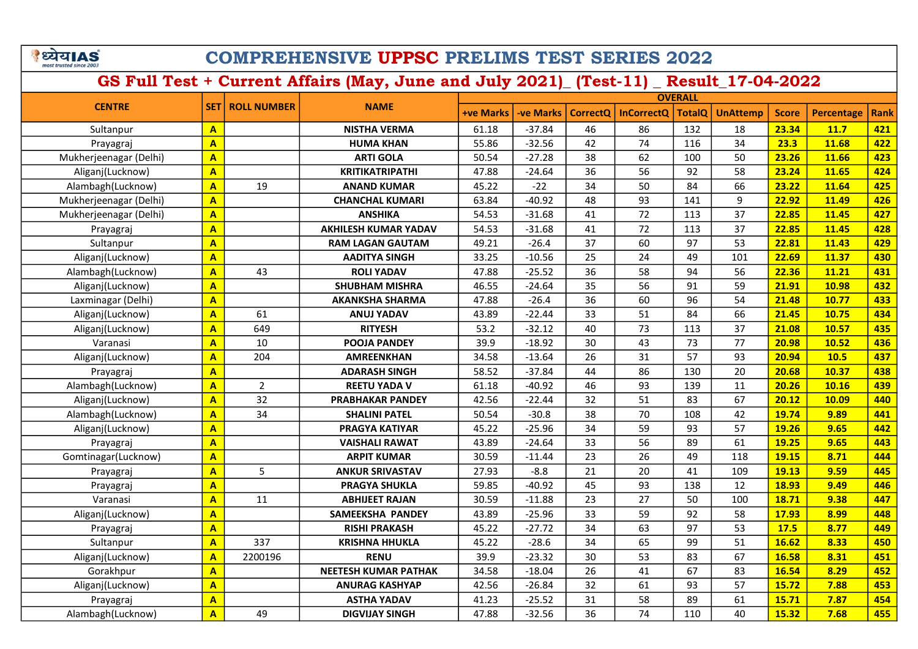| <b>BED 215</b><br><b>COMPREHENSIVE UPPSC PRELIMS TEST SERIES 2022</b> |                         |                    |                                                                                      |                  |                  |                 |                   |                |                 |              |                   |             |
|-----------------------------------------------------------------------|-------------------------|--------------------|--------------------------------------------------------------------------------------|------------------|------------------|-----------------|-------------------|----------------|-----------------|--------------|-------------------|-------------|
|                                                                       |                         |                    | GS Full Test + Current Affairs (May, June and July 2021) (Test-11) Result 17-04-2022 |                  |                  |                 |                   |                |                 |              |                   |             |
|                                                                       |                         |                    |                                                                                      |                  |                  |                 |                   | <b>OVERALL</b> |                 |              |                   |             |
| <b>CENTRE</b>                                                         | <b>SET</b>              | <b>ROLL NUMBER</b> | <b>NAME</b>                                                                          | <b>+ve Marks</b> | <b>-ve Marks</b> | <b>CorrectQ</b> | <b>InCorrectQ</b> | <b>TotalQ</b>  | <b>UnAttemp</b> | <b>Score</b> | <b>Percentage</b> | <b>Rank</b> |
| Sultanpur                                                             | $\overline{A}$          |                    | <b>NISTHA VERMA</b>                                                                  | 61.18            | $-37.84$         | 46              | 86                | 132            | 18              | 23.34        | 11.7              | 421         |
| Prayagraj                                                             | $\overline{A}$          |                    | <b>HUMA KHAN</b>                                                                     | 55.86            | $-32.56$         | 42              | 74                | 116            | 34              | 23.3         | 11.68             | 422         |
| Mukherjeenagar (Delhi)                                                | $\overline{\mathbf{A}}$ |                    | <b>ARTI GOLA</b>                                                                     | 50.54            | $-27.28$         | 38              | 62                | 100            | 50              | 23.26        | 11.66             | 423         |
| Aliganj(Lucknow)                                                      | $\overline{\mathbf{A}}$ |                    | <b>KRITIKATRIPATHI</b>                                                               | 47.88            | $-24.64$         | 36              | 56                | 92             | 58              | 23.24        | 11.65             | 424         |
| Alambagh(Lucknow)                                                     | $\overline{A}$          | 19                 | <b>ANAND KUMAR</b>                                                                   | 45.22            | $-22$            | 34              | 50                | 84             | 66              | 23.22        | 11.64             | 425         |
| Mukherjeenagar (Delhi)                                                | $\mathbf{A}$            |                    | <b>CHANCHAL KUMARI</b>                                                               | 63.84            | $-40.92$         | 48              | 93                | 141            | 9               | 22.92        | 11.49             | 426         |
| Mukherjeenagar (Delhi)                                                | $\overline{A}$          |                    | <b>ANSHIKA</b>                                                                       | 54.53            | $-31.68$         | 41              | 72                | 113            | 37              | 22.85        | 11.45             | 427         |
| Prayagraj                                                             | $\mathbf{A}$            |                    | <b>AKHILESH KUMAR YADAV</b>                                                          | 54.53            | $-31.68$         | 41              | 72                | 113            | 37              | 22.85        | 11.45             | 428         |
| Sultanpur                                                             | $\overline{A}$          |                    | <b>RAM LAGAN GAUTAM</b>                                                              | 49.21            | $-26.4$          | 37              | 60                | 97             | 53              | 22.81        | 11.43             | 429         |
| Aliganj(Lucknow)                                                      | $\overline{\mathbf{A}}$ |                    | <b>AADITYA SINGH</b>                                                                 | 33.25            | $-10.56$         | 25              | 24                | 49             | 101             | 22.69        | 11.37             | 430         |
| Alambagh(Lucknow)                                                     | $\overline{A}$          | 43                 | <b>ROLI YADAV</b>                                                                    | 47.88            | $-25.52$         | 36              | 58                | 94             | 56              | 22.36        | 11.21             | 431         |
| Aliganj(Lucknow)                                                      | $\overline{A}$          |                    | <b>SHUBHAM MISHRA</b>                                                                | 46.55            | $-24.64$         | 35              | 56                | 91             | 59              | 21.91        | 10.98             | 432         |
| Laxminagar (Delhi)                                                    | $\overline{A}$          |                    | <b>AKANKSHA SHARMA</b>                                                               | 47.88            | $-26.4$          | 36              | 60                | 96             | 54              | 21.48        | 10.77             | 433         |
| Aliganj(Lucknow)                                                      | $\overline{A}$          | 61                 | <b>ANUJ YADAV</b>                                                                    | 43.89            | $-22.44$         | 33              | 51                | 84             | 66              | 21.45        | 10.75             | 434         |
| Aliganj(Lucknow)                                                      | $\overline{A}$          | 649                | <b>RITYESH</b>                                                                       | 53.2             | $-32.12$         | 40              | 73                | 113            | 37              | 21.08        | 10.57             | 435         |
| Varanasi                                                              | $\overline{A}$          | 10                 | <b>POOJA PANDEY</b>                                                                  | 39.9             | $-18.92$         | 30              | 43                | 73             | 77              | 20.98        | 10.52             | 436         |
| Aliganj(Lucknow)                                                      | $\overline{A}$          | 204                | <b>AMREENKHAN</b>                                                                    | 34.58            | $-13.64$         | 26              | 31                | 57             | 93              | 20.94        | 10.5              | 437         |
| Prayagraj                                                             | $\overline{A}$          |                    | <b>ADARASH SINGH</b>                                                                 | 58.52            | $-37.84$         | 44              | 86                | 130            | 20              | 20.68        | 10.37             | 438         |
| Alambagh(Lucknow)                                                     | $\overline{A}$          | $\overline{2}$     | <b>REETU YADA V</b>                                                                  | 61.18            | $-40.92$         | 46              | 93                | 139            | 11              | 20.26        | 10.16             | 439         |
| Aliganj(Lucknow)                                                      | $\overline{\mathbf{A}}$ | 32                 | PRABHAKAR PANDEY                                                                     | 42.56            | $-22.44$         | 32              | 51                | 83             | 67              | 20.12        | 10.09             | 440         |
| Alambagh(Lucknow)                                                     | $\overline{A}$          | 34                 | <b>SHALINI PATEL</b>                                                                 | 50.54            | $-30.8$          | 38              | 70                | 108            | 42              | 19.74        | 9.89              | 441         |
| Aliganj(Lucknow)                                                      | $\overline{\mathbf{A}}$ |                    | PRAGYA KATIYAR                                                                       | 45.22            | $-25.96$         | 34              | 59                | 93             | 57              | 19.26        | 9.65              | 442         |
| Prayagraj                                                             | $\overline{A}$          |                    | <b>VAISHALI RAWAT</b>                                                                | 43.89            | $-24.64$         | 33              | 56                | 89             | 61              | 19.25        | 9.65              | 443         |
| Gomtinagar(Lucknow)                                                   | $\overline{A}$          |                    | <b>ARPIT KUMAR</b>                                                                   | 30.59            | $-11.44$         | 23              | 26                | 49             | 118             | 19.15        | 8.71              | 444         |
| Prayagraj                                                             | $\overline{\mathbf{A}}$ | 5                  | <b>ANKUR SRIVASTAV</b>                                                               | 27.93            | $-8.8$           | 21              | 20                | 41             | 109             | 19.13        | 9.59              | 445         |
| Prayagraj                                                             | $\overline{A}$          |                    | <b>PRAGYA SHUKLA</b>                                                                 | 59.85            | $-40.92$         | 45              | 93                | 138            | 12              | 18.93        | 9.49              | 446         |
| Varanasi                                                              | $\overline{\mathbf{A}}$ | 11                 | <b>ABHIJEET RAJAN</b>                                                                | 30.59            | $-11.88$         | 23              | 27                | 50             | 100             | 18.71        | 9.38              | 447         |
| Aliganj(Lucknow)                                                      | $\overline{A}$          |                    | <b>SAMEEKSHA PANDEY</b>                                                              | 43.89            | $-25.96$         | 33              | 59                | 92             | 58              | 17.93        | 8.99              | 448         |
| Prayagraj                                                             | $\mathbf{A}$            |                    | <b>RISHI PRAKASH</b>                                                                 | 45.22            | $-27.72$         | 34              | 63                | 97             | 53              | 17.5         | 8.77              | 449         |
| Sultanpur                                                             | $\overline{\mathbf{A}}$ | 337                | <b>KRISHNA HHUKLA</b>                                                                | 45.22            | $-28.6$          | 34              | 65                | 99             | 51              | 16.62        | 8.33              | 450         |
| Aliganj(Lucknow)                                                      | $\overline{A}$          | 2200196            | <b>RENU</b>                                                                          | 39.9             | $-23.32$         | 30              | 53                | 83             | 67              | 16.58        | 8.31              | 451         |
| Gorakhpur                                                             | $\overline{\mathbf{A}}$ |                    | <b>NEETESH KUMAR PATHAK</b>                                                          | 34.58            | $-18.04$         | 26              | 41                | 67             | 83              | 16.54        | 8.29              | 452         |
| Aliganj(Lucknow)                                                      | $\overline{\mathbf{A}}$ |                    | <b>ANURAG KASHYAP</b>                                                                | 42.56            | $-26.84$         | 32              | 61                | 93             | 57              | 15.72        | 7.88              | 453         |
| Prayagraj                                                             | $\overline{\mathbf{A}}$ |                    | <b>ASTHA YADAV</b>                                                                   | 41.23            | $-25.52$         | 31              | 58                | 89             | 61              | 15.71        | 7.87              | 454         |

Alambagh(Lucknow) <mark>A 49 DIGVIJAY SINGH 47.88 -32.56 36 74 110 40 15.32 7.68 455</mark>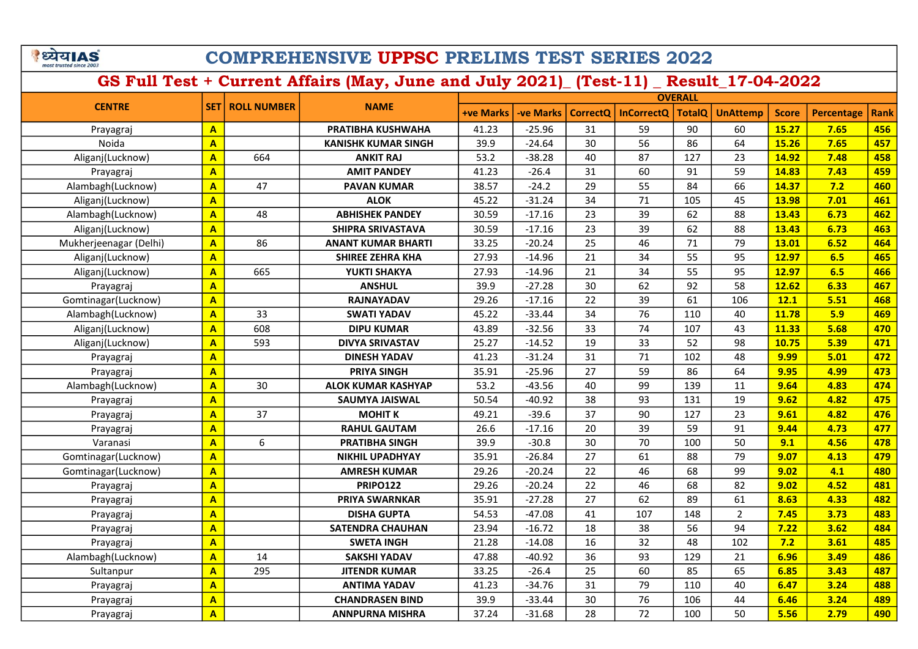|                         | य।∆ |
|-------------------------|-----|
| most trusted since 2003 |     |

| <b>CENTRE</b>          |                         |     | <b>SET</b><br><b>ROLL NUMBER</b><br><b>NAME</b> |                  | <b>OVERALL</b>   |                 |                   |               |                 |              |                   |             |  |
|------------------------|-------------------------|-----|-------------------------------------------------|------------------|------------------|-----------------|-------------------|---------------|-----------------|--------------|-------------------|-------------|--|
|                        |                         |     |                                                 | <b>+ve Marks</b> | <b>-ve Marks</b> | <b>CorrectQ</b> | <b>InCorrectQ</b> | <b>TotalQ</b> | <b>UnAttemp</b> | <b>Score</b> | <b>Percentage</b> | <b>Rank</b> |  |
| Prayagraj              | $\mathbf{A}$            |     | PRATIBHA KUSHWAHA                               | 41.23            | $-25.96$         | 31              | 59                | 90            | 60              | 15.27        | 7.65              | 456         |  |
| Noida                  | $\overline{\mathbf{A}}$ |     | <b>KANISHK KUMAR SINGH</b>                      | 39.9             | $-24.64$         | 30              | 56                | 86            | 64              | 15.26        | 7.65              | 457         |  |
| Aliganj(Lucknow)       | $\mathbf{A}$            | 664 | <b>ANKIT RAJ</b>                                | 53.2             | $-38.28$         | 40              | 87                | 127           | 23              | 14.92        | 7.48              | 458         |  |
| Prayagraj              | $\overline{\mathbf{A}}$ |     | <b>AMIT PANDEY</b>                              | 41.23            | $-26.4$          | 31              | 60                | 91            | 59              | 14.83        | 7.43              | 459         |  |
| Alambagh(Lucknow)      | $\overline{\mathbf{A}}$ | 47  | <b>PAVAN KUMAR</b>                              | 38.57            | $-24.2$          | 29              | 55                | 84            | 66              | 14.37        | 7.2               | 460         |  |
| Aliganj(Lucknow)       | $\overline{\mathbf{A}}$ |     | <b>ALOK</b>                                     | 45.22            | $-31.24$         | 34              | 71                | 105           | 45              | 13.98        | 7.01              | 461         |  |
| Alambagh(Lucknow)      | $\overline{\mathbf{A}}$ | 48  | <b>ABHISHEK PANDEY</b>                          | 30.59            | $-17.16$         | 23              | 39                | 62            | 88              | 13.43        | 6.73              | 462         |  |
| Aliganj(Lucknow)       | $\overline{\mathsf{A}}$ |     | SHIPRA SRIVASTAVA                               | 30.59            | $-17.16$         | 23              | 39                | 62            | 88              | 13.43        | 6.73              | 463         |  |
| Mukherjeenagar (Delhi) | $\overline{\mathsf{A}}$ | 86  | <b>ANANT KUMAR BHARTI</b>                       | 33.25            | $-20.24$         | 25              | 46                | 71            | 79              | 13.01        | 6.52              | 464         |  |
| Aliganj(Lucknow)       | $\mathbf{A}$            |     | SHIREE ZEHRA KHA                                | 27.93            | $-14.96$         | 21              | 34                | 55            | 95              | 12.97        | 6.5               | 465         |  |
| Aliganj(Lucknow)       | $\mathbf{A}$            | 665 | YUKTI SHAKYA                                    | 27.93            | $-14.96$         | 21              | 34                | 55            | 95              | 12.97        | 6.5               | 466         |  |
| Prayagraj              | $\overline{A}$          |     | <b>ANSHUL</b>                                   | 39.9             | $-27.28$         | 30              | 62                | 92            | 58              | 12.62        | 6.33              | 467         |  |
| Gomtinagar(Lucknow)    | $\overline{\mathbf{A}}$ |     | <b>RAJNAYADAV</b>                               | 29.26            | $-17.16$         | 22              | 39                | 61            | 106             | 12.1         | 5.51              | 468         |  |
| Alambagh(Lucknow)      | $\overline{\mathbf{A}}$ | 33  | <b>SWATI YADAV</b>                              | 45.22            | $-33.44$         | 34              | 76                | 110           | 40              | 11.78        | 5.9               | 469         |  |
| Aliganj(Lucknow)       | $\mathbf{A}$            | 608 | <b>DIPU KUMAR</b>                               | 43.89            | $-32.56$         | 33              | 74                | 107           | 43              | 11.33        | 5.68              | 470         |  |
| Aliganj(Lucknow)       | $\overline{\mathbf{A}}$ | 593 | <b>DIVYA SRIVASTAV</b>                          | 25.27            | $-14.52$         | 19              | 33                | 52            | 98              | 10.75        | 5.39              | 471         |  |
| Prayagraj              | $\overline{\mathsf{A}}$ |     | <b>DINESH YADAV</b>                             | 41.23            | $-31.24$         | 31              | 71                | 102           | 48              | 9.99         | 5.01              | 472         |  |
| Prayagraj              | $\mathbf{A}$            |     | <b>PRIYA SINGH</b>                              | 35.91            | $-25.96$         | 27              | 59                | 86            | 64              | 9.95         | 4.99              | 473         |  |
| Alambagh(Lucknow)      | $\mathbf{A}$            | 30  | <b>ALOK KUMAR KASHYAP</b>                       | 53.2             | $-43.56$         | 40              | 99                | 139           | 11              | 9.64         | 4.83              | 474         |  |
| Prayagraj              | $\mathbf{A}$            |     | <b>SAUMYA JAISWAL</b>                           | 50.54            | $-40.92$         | 38              | 93                | 131           | 19              | 9.62         | 4.82              | 475         |  |
| Prayagraj              | $\mathbf{A}$            | 37  | <b>MOHIT K</b>                                  | 49.21            | $-39.6$          | 37              | 90                | 127           | 23              | 9.61         | 4.82              | 476         |  |
| Prayagraj              | $\overline{\mathbf{A}}$ |     | <b>RAHUL GAUTAM</b>                             | 26.6             | $-17.16$         | 20              | 39                | 59            | 91              | 9.44         | 4.73              | 477         |  |
| Varanasi               | $\mathbf{A}$            | 6   | <b>PRATIBHA SINGH</b>                           | 39.9             | $-30.8$          | 30              | 70                | 100           | 50              | 9.1          | 4.56              | 478         |  |
| Gomtinagar(Lucknow)    | $\mathbf{A}$            |     | <b>NIKHIL UPADHYAY</b>                          | 35.91            | $-26.84$         | 27              | 61                | 88            | 79              | 9.07         | 4.13              | 479         |  |
| Gomtinagar(Lucknow)    | $\mathbf{A}$            |     | <b>AMRESH KUMAR</b>                             | 29.26            | $-20.24$         | 22              | 46                | 68            | 99              | 9.02         | 4.1               | 480         |  |
| Prayagraj              | $\mathbf{A}$            |     | <b>PRIPO122</b>                                 | 29.26            | $-20.24$         | 22              | 46                | 68            | 82              | 9.02         | 4.52              | 481         |  |
| Prayagraj              | $\mathbf{A}$            |     | <b>PRIYA SWARNKAR</b>                           | 35.91            | $-27.28$         | 27              | 62                | 89            | 61              | 8.63         | 4.33              | 482         |  |
| Prayagraj              | $\overline{\mathbf{A}}$ |     | <b>DISHA GUPTA</b>                              | 54.53            | $-47.08$         | 41              | 107               | 148           | $\overline{2}$  | 7.45         | 3.73              | 483         |  |
| Prayagraj              | $\mathbf{A}$            |     | <b>SATENDRA CHAUHAN</b>                         | 23.94            | $-16.72$         | 18              | 38                | 56            | 94              | 7.22         | 3.62              | 484         |  |
| Prayagraj              | $\mathbf{A}$            |     | <b>SWETA INGH</b>                               | 21.28            | $-14.08$         | 16              | 32                | 48            | 102             | 7.2          | 3.61              | 485         |  |
| Alambagh(Lucknow)      | $\mathbf{A}$            | 14  | <b>SAKSHI YADAV</b>                             | 47.88            | $-40.92$         | 36              | 93                | 129           | 21              | 6.96         | 3.49              | 486         |  |
| Sultanpur              | $\mathbf{A}$            | 295 | <b>JITENDR KUMAR</b>                            | 33.25            | $-26.4$          | 25              | 60                | 85            | 65              | 6.85         | 3.43              | 487         |  |
| Prayagraj              | $\mathbf{A}$            |     | <b>ANTIMA YADAV</b>                             | 41.23            | $-34.76$         | 31              | 79                | 110           | 40              | 6.47         | 3.24              | 488         |  |
| Prayagraj              | $\mathbf{A}$            |     | <b>CHANDRASEN BIND</b>                          | 39.9             | $-33.44$         | 30              | 76                | 106           | 44              | 6.46         | 3.24              | 489         |  |
| Prayagraj              | $\overline{\mathbf{A}}$ |     | <b>ANNPURNA MISHRA</b>                          | 37.24            | $-31.68$         | 28              | 72                | 100           | 50              | 5.56         | 2.79              | 490         |  |